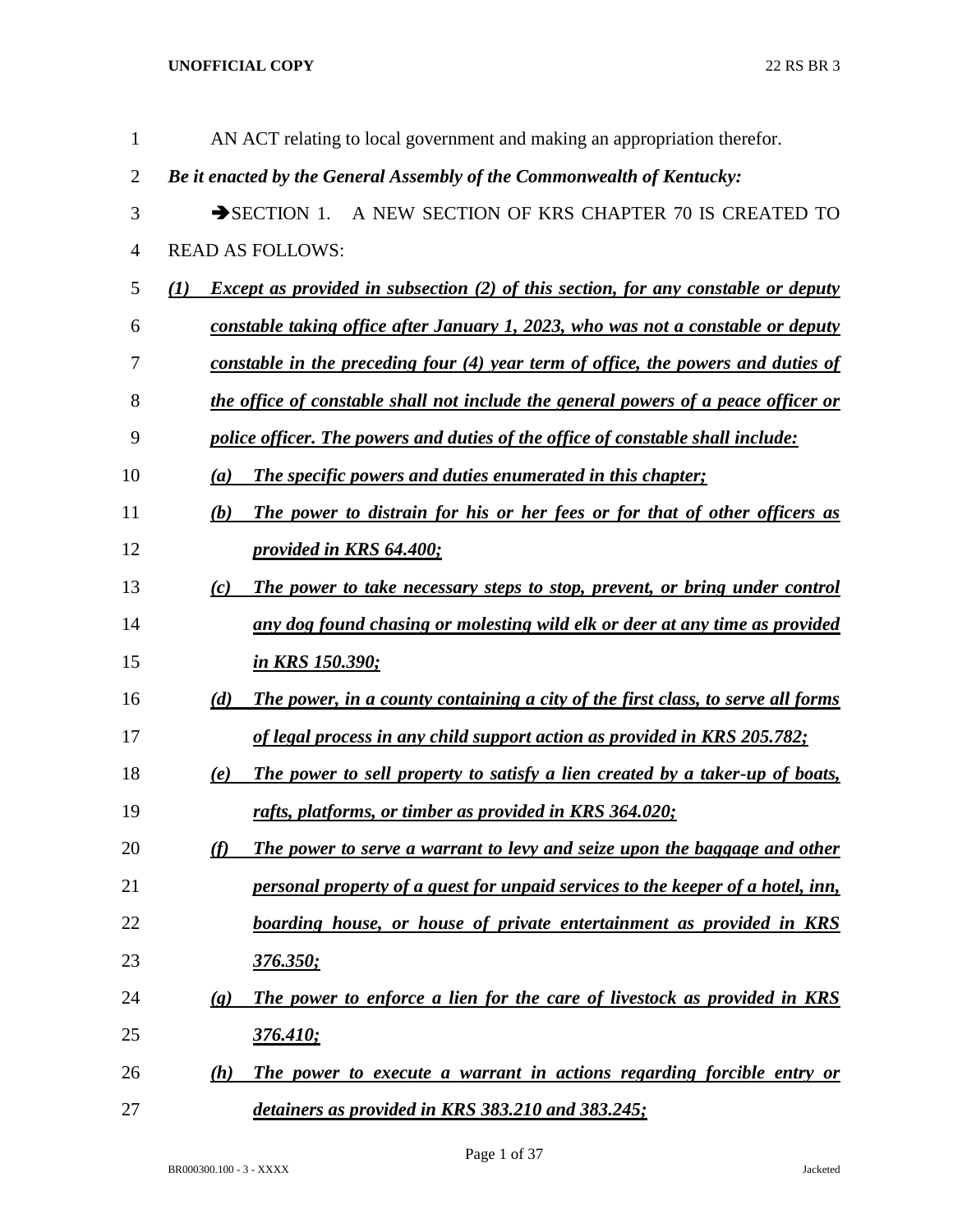| $\mathbf{1}$   | AN ACT relating to local government and making an appropriation therefor.                                    |
|----------------|--------------------------------------------------------------------------------------------------------------|
| $\overline{2}$ | Be it enacted by the General Assembly of the Commonwealth of Kentucky:                                       |
| 3              | A NEW SECTION OF KRS CHAPTER 70 IS CREATED TO<br>$\rightarrow$ SECTION 1.                                    |
| $\overline{4}$ | <b>READ AS FOLLOWS:</b>                                                                                      |
| 5              | <i>Except as provided in subsection (2) of this section, for any constable or deputy</i><br>$\mathcal{L}(I)$ |
| 6              | constable taking office after January 1, 2023, who was not a constable or deputy                             |
| 7              | constable in the preceding four (4) year term of office, the powers and duties of                            |
| 8              | the office of constable shall not include the general powers of a peace officer or                           |
| 9              | police officer. The powers and duties of the office of constable shall include:                              |
| 10             | <b>The specific powers and duties enumerated in this chapter;</b><br>(a)                                     |
| 11             | The power to distrain for his or her fees or for that of other officers as<br>(b)                            |
| 12             | provided in KRS 64.400;                                                                                      |
| 13             | (c)<br>The power to take necessary steps to stop, prevent, or bring under control                            |
| 14             | any dog found chasing or molesting wild elk or deer at any time as provided                                  |
| 15             | <u>in KRS 150.390;</u>                                                                                       |
| 16             | (d)<br>The power, in a county containing a city of the first class, to serve all forms                       |
| 17             | of legal process in any child support action as provided in KRS 205.782;                                     |
| 18             | The power to sell property to satisfy a lien created by a taker-up of boats,<br>(e)                          |
| 19             | rafts, platforms, or timber as provided in KRS 364.020;                                                      |
| 20             | (f)<br>The power to serve a warrant to levy and seize upon the baggage and other                             |
| 21             | personal property of a guest for unpaid services to the keeper of a hotel, inn,                              |
| 22             | boarding house, or house of private entertainment as provided in KRS                                         |
| 23             | <u>376.350;</u>                                                                                              |
| 24             | The power to enforce a lien for the care of livestock as provided in KRS<br>$\left( \mathbf{g} \right)$      |
| 25             | 376.410;                                                                                                     |
| 26             | The power to execute a warrant in actions regarding forcible entry or<br>(h)                                 |
| 27             | detainers as provided in KRS 383.210 and 383.245;                                                            |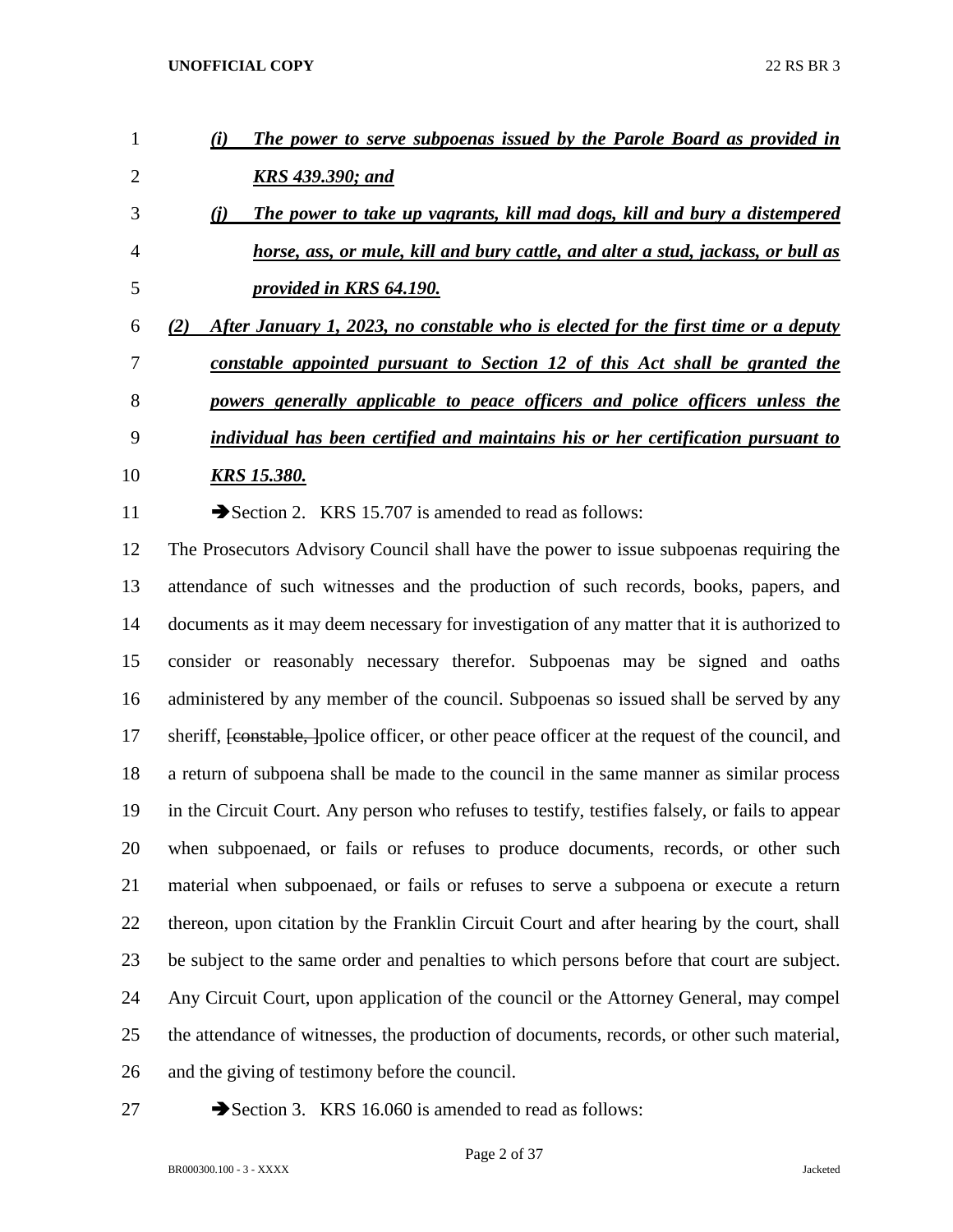| $\mathbf{1}$   | The power to serve subpoenas issued by the Parole Board as provided in<br>(i)                               |
|----------------|-------------------------------------------------------------------------------------------------------------|
| $\overline{2}$ | <b>KRS</b> 439.390; and                                                                                     |
| 3              | The power to take up vagrants, kill mad dogs, kill and bury a distempered<br>(i)                            |
| 4              | horse, ass, or mule, kill and bury cattle, and alter a stud, jackass, or bull as                            |
| 5              | provided in KRS 64.190.                                                                                     |
| 6              | After January 1, 2023, no constable who is elected for the first time or a deputy<br>(2)                    |
| 7              | constable appointed pursuant to Section 12 of this Act shall be granted the                                 |
| 8              | powers generally applicable to peace officers and police officers unless the                                |
| 9              | individual has been certified and maintains his or her certification pursuant to                            |
| 10             | <u>KRS 15.380.</u>                                                                                          |
| 11             | Section 2. KRS 15.707 is amended to read as follows:                                                        |
| 12             | The Prosecutors Advisory Council shall have the power to issue subpoenas requiring the                      |
| 13             | attendance of such witnesses and the production of such records, books, papers, and                         |
| 14             | documents as it may deem necessary for investigation of any matter that it is authorized to                 |
| 15             | consider or reasonably necessary therefor. Subpoenas may be signed and oaths                                |
| 16             | administered by any member of the council. Subpoenas so issued shall be served by any                       |
| 17             | sheriff, <del>[constable, ]</del> police officer, or other peace officer at the request of the council, and |
| 18             | a return of subpoena shall be made to the council in the same manner as similar process                     |
| 19             | in the Circuit Court. Any person who refuses to testify, testifies falsely, or fails to appear              |
| 20             | when subpoenaed, or fails or refuses to produce documents, records, or other such                           |
| 21             | material when subpoenaed, or fails or refuses to serve a subpoena or execute a return                       |
| 22             | thereon, upon citation by the Franklin Circuit Court and after hearing by the court, shall                  |
| 23             | be subject to the same order and penalties to which persons before that court are subject.                  |
| 24             | Any Circuit Court, upon application of the council or the Attorney General, may compel                      |
| 25             | the attendance of witnesses, the production of documents, records, or other such material,                  |
|                |                                                                                                             |

- and the giving of testimony before the council.
- 

27 Section 3. KRS 16.060 is amended to read as follows: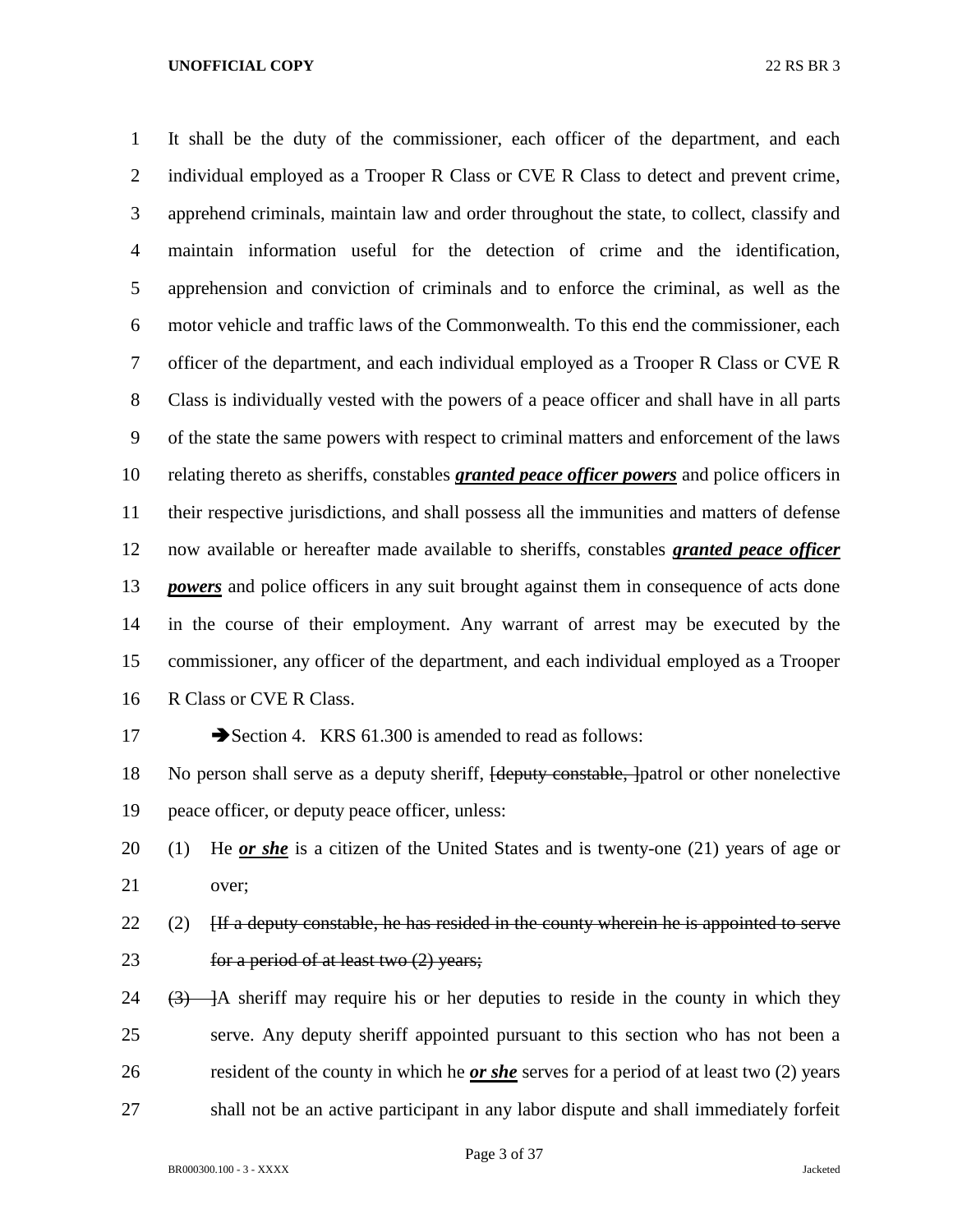It shall be the duty of the commissioner, each officer of the department, and each 2 individual employed as a Trooper R Class or CVE R Class to detect and prevent crime, apprehend criminals, maintain law and order throughout the state, to collect, classify and maintain information useful for the detection of crime and the identification, apprehension and conviction of criminals and to enforce the criminal, as well as the motor vehicle and traffic laws of the Commonwealth. To this end the commissioner, each officer of the department, and each individual employed as a Trooper R Class or CVE R Class is individually vested with the powers of a peace officer and shall have in all parts of the state the same powers with respect to criminal matters and enforcement of the laws relating thereto as sheriffs, constables *granted peace officer powers* and police officers in their respective jurisdictions, and shall possess all the immunities and matters of defense now available or hereafter made available to sheriffs, constables *granted peace officer powers* and police officers in any suit brought against them in consequence of acts done in the course of their employment. Any warrant of arrest may be executed by the commissioner, any officer of the department, and each individual employed as a Trooper R Class or CVE R Class.

### 17 Section 4. KRS 61.300 is amended to read as follows:

18 No person shall serve as a deputy sheriff, <del>[deputy constable, ]</del>patrol or other nonelective peace officer, or deputy peace officer, unless:

- (1) He *or she* is a citizen of the United States and is twenty-one (21) years of age or over;
- 22 (2)  $\left| \right|$  [If a deputy constable, he has resided in the county wherein he is appointed to serve **for a period of at least two (2) years;**
- 24  $(3)$   $\rightarrow$  A sheriff may require his or her deputies to reside in the county in which they serve. Any deputy sheriff appointed pursuant to this section who has not been a resident of the county in which he *or she* serves for a period of at least two (2) years shall not be an active participant in any labor dispute and shall immediately forfeit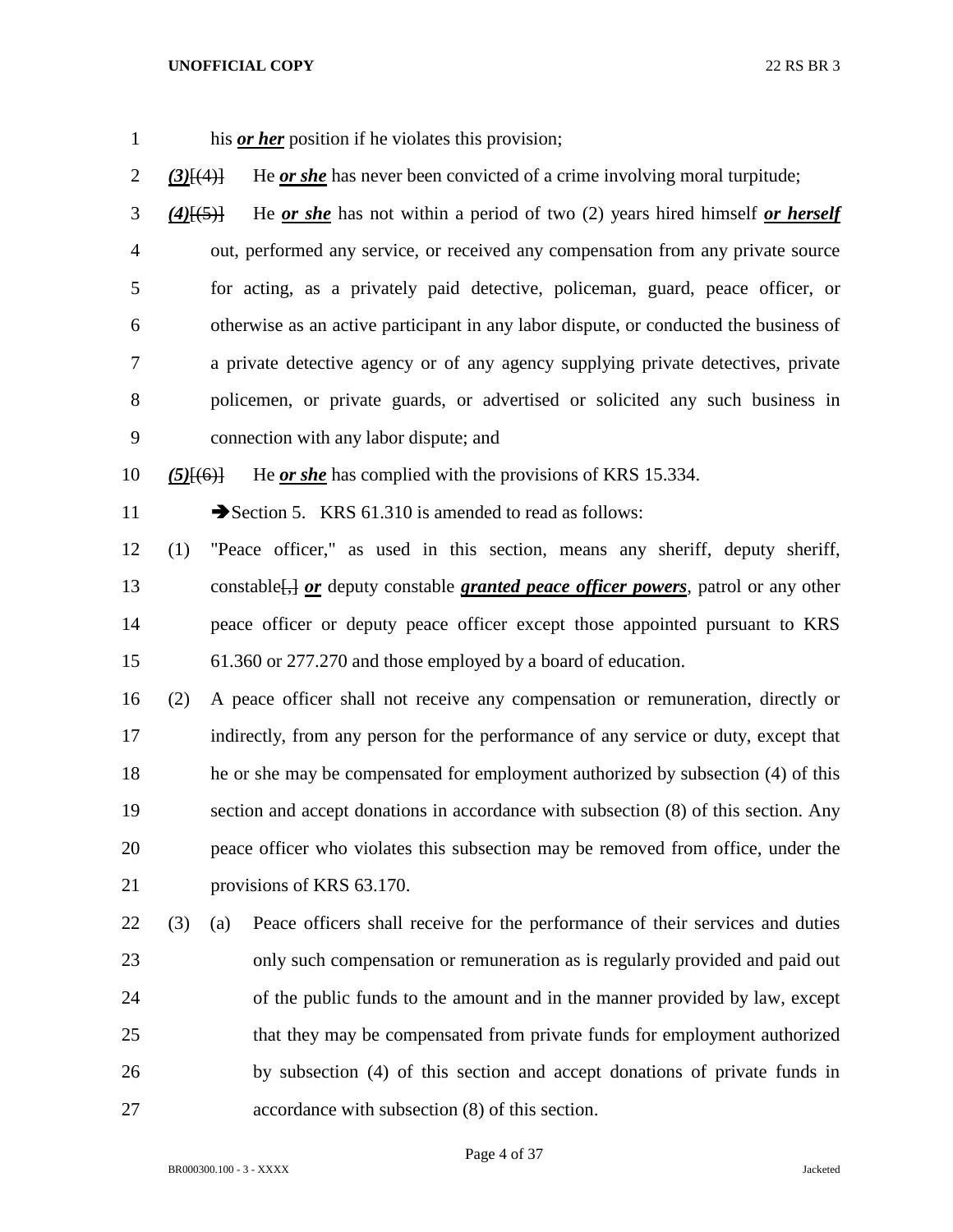| $\mathbf{1}$   |                 |     | his <i>or her</i> position if he violates this provision;                                       |
|----------------|-----------------|-----|-------------------------------------------------------------------------------------------------|
| $\overline{2}$ | $(3)$ [ $(4)$ ] |     | He <u>or she</u> has never been convicted of a crime involving moral turpitude;                 |
| 3              | $(4)$ [(5)]     |     | He or she has not within a period of two $(2)$ years hired himself or herself                   |
| $\overline{4}$ |                 |     | out, performed any service, or received any compensation from any private source                |
| 5              |                 |     | for acting, as a privately paid detective, policeman, guard, peace officer, or                  |
| 6              |                 |     | otherwise as an active participant in any labor dispute, or conducted the business of           |
| $\tau$         |                 |     | a private detective agency or of any agency supplying private detectives, private               |
| $8\,$          |                 |     | policemen, or private guards, or advertised or solicited any such business in                   |
| 9              |                 |     | connection with any labor dispute; and                                                          |
| 10             | $(5)$ [ $(6)$ ] |     | He or she has complied with the provisions of KRS 15.334.                                       |
| 11             |                 |     | Section 5. KRS 61.310 is amended to read as follows:                                            |
| 12             | (1)             |     | "Peace officer," as used in this section, means any sheriff, deputy sheriff,                    |
| 13             |                 |     | constable <sup>[14]</sup> or deputy constable granted peace officer powers, patrol or any other |
| 14             |                 |     | peace officer or deputy peace officer except those appointed pursuant to KRS                    |
| 15             |                 |     | 61.360 or 277.270 and those employed by a board of education.                                   |
| 16             | (2)             |     | A peace officer shall not receive any compensation or remuneration, directly or                 |
| 17             |                 |     | indirectly, from any person for the performance of any service or duty, except that             |
| 18             |                 |     | he or she may be compensated for employment authorized by subsection (4) of this                |
| 19             |                 |     | section and accept donations in accordance with subsection (8) of this section. Any             |
| 20             |                 |     | peace officer who violates this subsection may be removed from office, under the                |
| 21             |                 |     | provisions of KRS 63.170.                                                                       |
| 22             | (3)             | (a) | Peace officers shall receive for the performance of their services and duties                   |
| 23             |                 |     | only such compensation or remuneration as is regularly provided and paid out                    |
| 24             |                 |     | of the public funds to the amount and in the manner provided by law, except                     |
| 25             |                 |     | that they may be compensated from private funds for employment authorized                       |
| 26             |                 |     | by subsection (4) of this section and accept donations of private funds in                      |
| 27             |                 |     | accordance with subsection (8) of this section.                                                 |

Page 4 of 37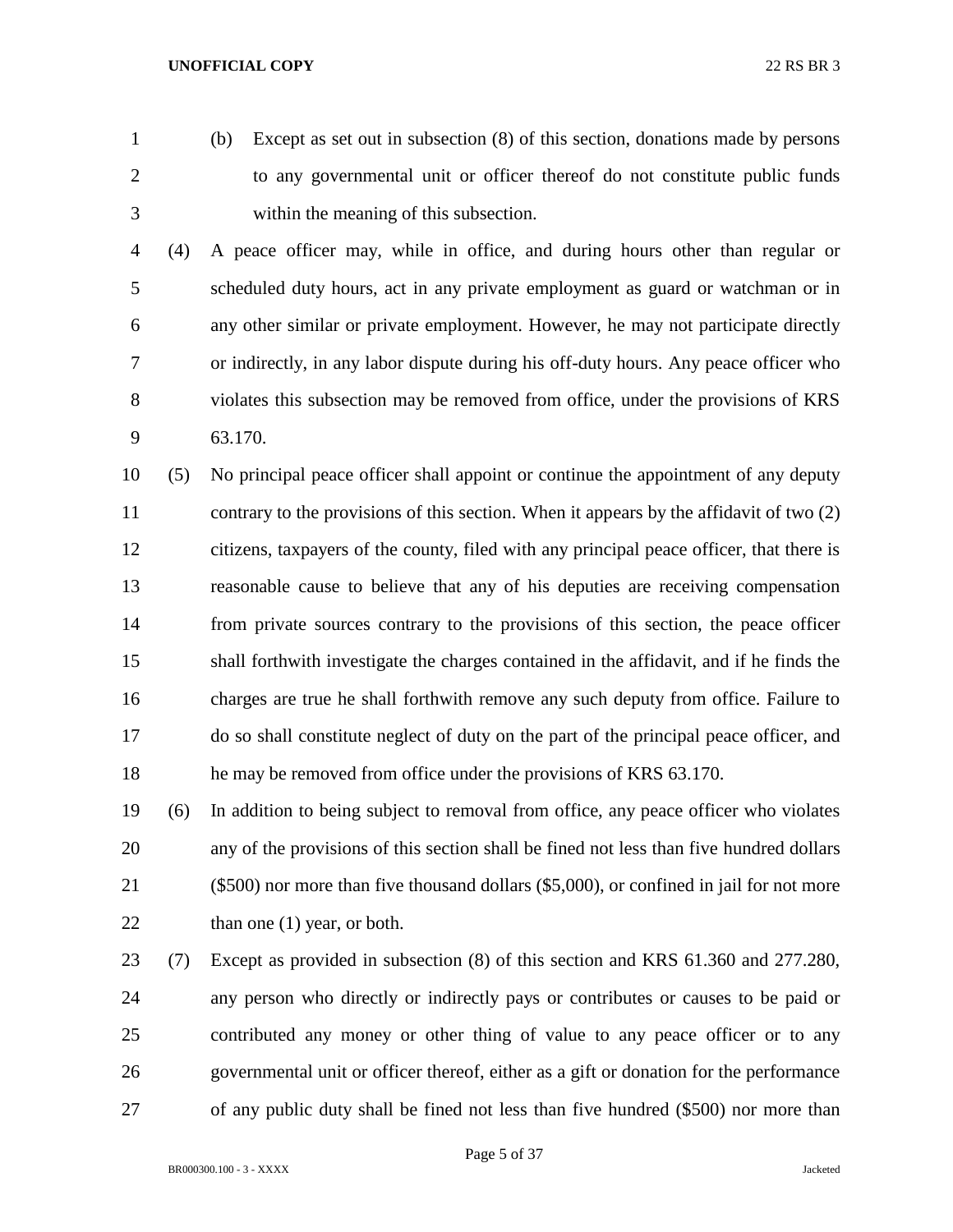- 
- 

 (b) Except as set out in subsection (8) of this section, donations made by persons to any governmental unit or officer thereof do not constitute public funds within the meaning of this subsection.

 (4) A peace officer may, while in office, and during hours other than regular or scheduled duty hours, act in any private employment as guard or watchman or in any other similar or private employment. However, he may not participate directly or indirectly, in any labor dispute during his off-duty hours. Any peace officer who violates this subsection may be removed from office, under the provisions of KRS 63.170.

 (5) No principal peace officer shall appoint or continue the appointment of any deputy 11 contrary to the provisions of this section. When it appears by the affidavit of two (2) citizens, taxpayers of the county, filed with any principal peace officer, that there is reasonable cause to believe that any of his deputies are receiving compensation from private sources contrary to the provisions of this section, the peace officer shall forthwith investigate the charges contained in the affidavit, and if he finds the charges are true he shall forthwith remove any such deputy from office. Failure to do so shall constitute neglect of duty on the part of the principal peace officer, and he may be removed from office under the provisions of KRS 63.170.

 (6) In addition to being subject to removal from office, any peace officer who violates any of the provisions of this section shall be fined not less than five hundred dollars (\$500) nor more than five thousand dollars (\$5,000), or confined in jail for not more 22 than one (1) year, or both.

 (7) Except as provided in subsection (8) of this section and KRS 61.360 and 277.280, any person who directly or indirectly pays or contributes or causes to be paid or contributed any money or other thing of value to any peace officer or to any governmental unit or officer thereof, either as a gift or donation for the performance of any public duty shall be fined not less than five hundred (\$500) nor more than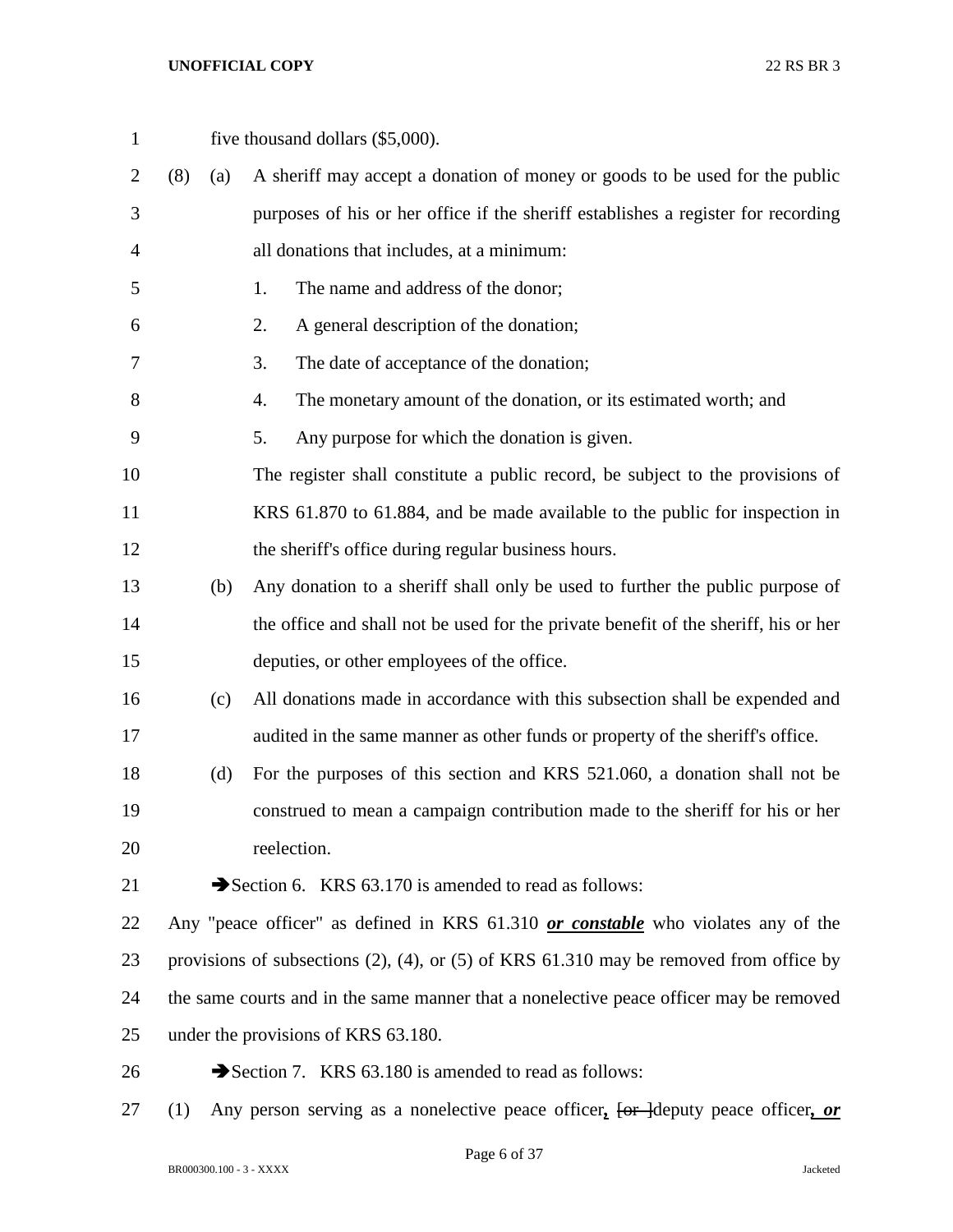| $\mathbf{1}$   |     |     | five thousand dollars (\$5,000).                                                               |
|----------------|-----|-----|------------------------------------------------------------------------------------------------|
| $\overline{2}$ | (8) | (a) | A sheriff may accept a donation of money or goods to be used for the public                    |
| 3              |     |     | purposes of his or her office if the sheriff establishes a register for recording              |
| 4              |     |     | all donations that includes, at a minimum:                                                     |
| 5              |     |     | The name and address of the donor;<br>1.                                                       |
| 6              |     |     | A general description of the donation;<br>2.                                                   |
| 7              |     |     | The date of acceptance of the donation;<br>3.                                                  |
| 8              |     |     | The monetary amount of the donation, or its estimated worth; and<br>4.                         |
| 9              |     |     | 5.<br>Any purpose for which the donation is given.                                             |
| 10             |     |     | The register shall constitute a public record, be subject to the provisions of                 |
| 11             |     |     | KRS 61.870 to 61.884, and be made available to the public for inspection in                    |
| 12             |     |     | the sheriff's office during regular business hours.                                            |
| 13             |     | (b) | Any donation to a sheriff shall only be used to further the public purpose of                  |
| 14             |     |     | the office and shall not be used for the private benefit of the sheriff, his or her            |
| 15             |     |     | deputies, or other employees of the office.                                                    |
| 16             |     | (c) | All donations made in accordance with this subsection shall be expended and                    |
| 17             |     |     | audited in the same manner as other funds or property of the sheriff's office.                 |
| 18             |     | (d) | For the purposes of this section and KRS 521.060, a donation shall not be                      |
| 19             |     |     | construed to mean a campaign contribution made to the sheriff for his or her                   |
| 20             |     |     | reelection.                                                                                    |
| 21             |     |     | Section 6. KRS 63.170 is amended to read as follows:                                           |
| 22             |     |     | Any "peace officer" as defined in KRS 61.310 or constable who violates any of the              |
| 23             |     |     | provisions of subsections $(2)$ , $(4)$ , or $(5)$ of KRS 61.310 may be removed from office by |
| 24             |     |     | the same courts and in the same manner that a nonelective peace officer may be removed         |
| 25             |     |     | under the provisions of KRS 63.180.                                                            |
| 26             |     |     | Section 7. KRS 63.180 is amended to read as follows:                                           |

(1) Any person serving as a nonelective peace officer*,* [or ]deputy peace officer*, or*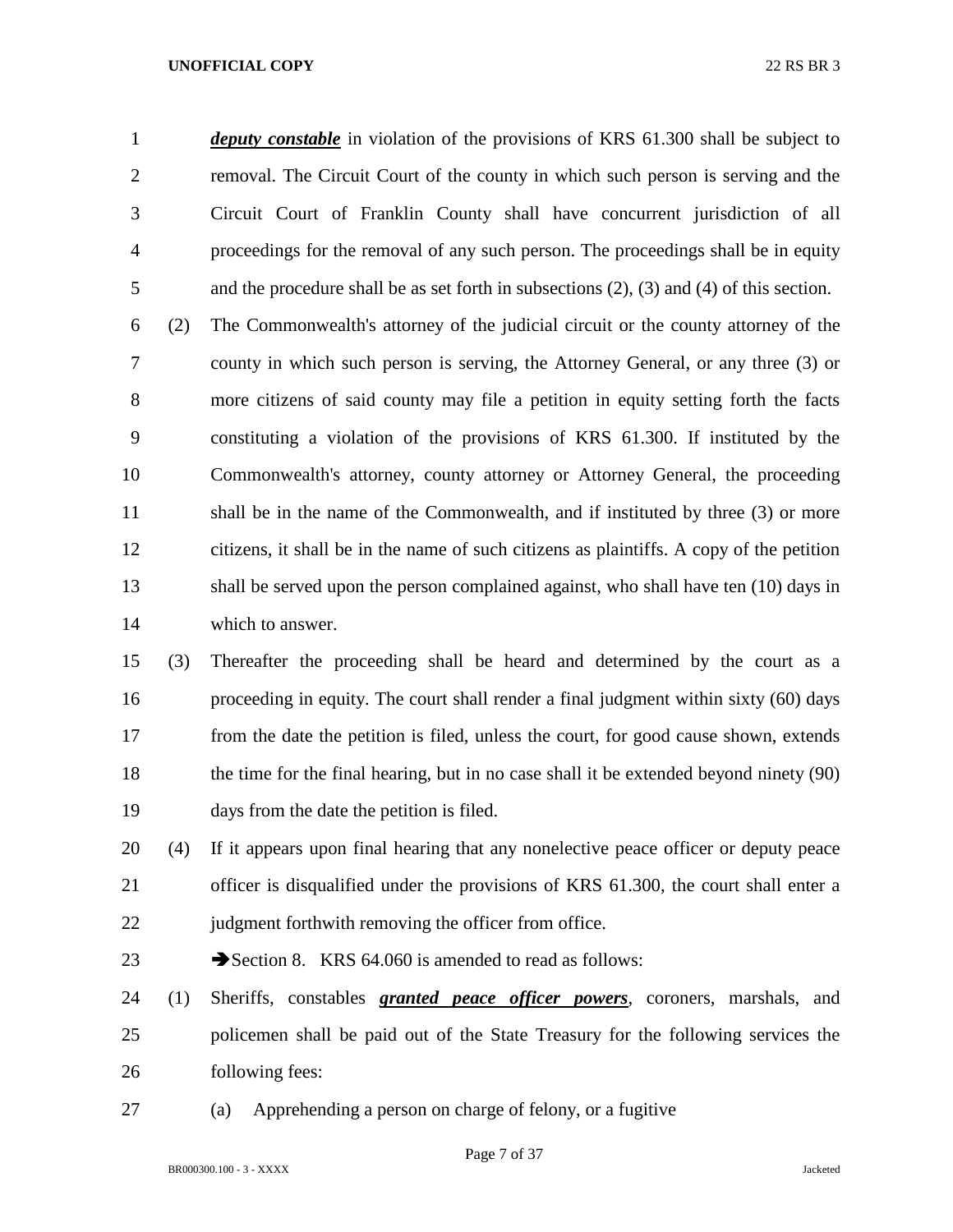*deputy constable* in violation of the provisions of KRS 61.300 shall be subject to removal. The Circuit Court of the county in which such person is serving and the Circuit Court of Franklin County shall have concurrent jurisdiction of all proceedings for the removal of any such person. The proceedings shall be in equity and the procedure shall be as set forth in subsections (2), (3) and (4) of this section.

 (2) The Commonwealth's attorney of the judicial circuit or the county attorney of the county in which such person is serving, the Attorney General, or any three (3) or more citizens of said county may file a petition in equity setting forth the facts constituting a violation of the provisions of KRS 61.300. If instituted by the Commonwealth's attorney, county attorney or Attorney General, the proceeding 11 shall be in the name of the Commonwealth, and if instituted by three (3) or more citizens, it shall be in the name of such citizens as plaintiffs. A copy of the petition shall be served upon the person complained against, who shall have ten (10) days in which to answer.

 (3) Thereafter the proceeding shall be heard and determined by the court as a proceeding in equity. The court shall render a final judgment within sixty (60) days from the date the petition is filed, unless the court, for good cause shown, extends 18 the time for the final hearing, but in no case shall it be extended beyond ninety (90) days from the date the petition is filed.

 (4) If it appears upon final hearing that any nonelective peace officer or deputy peace officer is disqualified under the provisions of KRS 61.300, the court shall enter a 22 judgment forthwith removing the officer from office.

23 Section 8. KRS 64.060 is amended to read as follows:

 (1) Sheriffs, constables *granted peace officer powers*, coroners, marshals, and policemen shall be paid out of the State Treasury for the following services the following fees:

(a) Apprehending a person on charge of felony, or a fugitive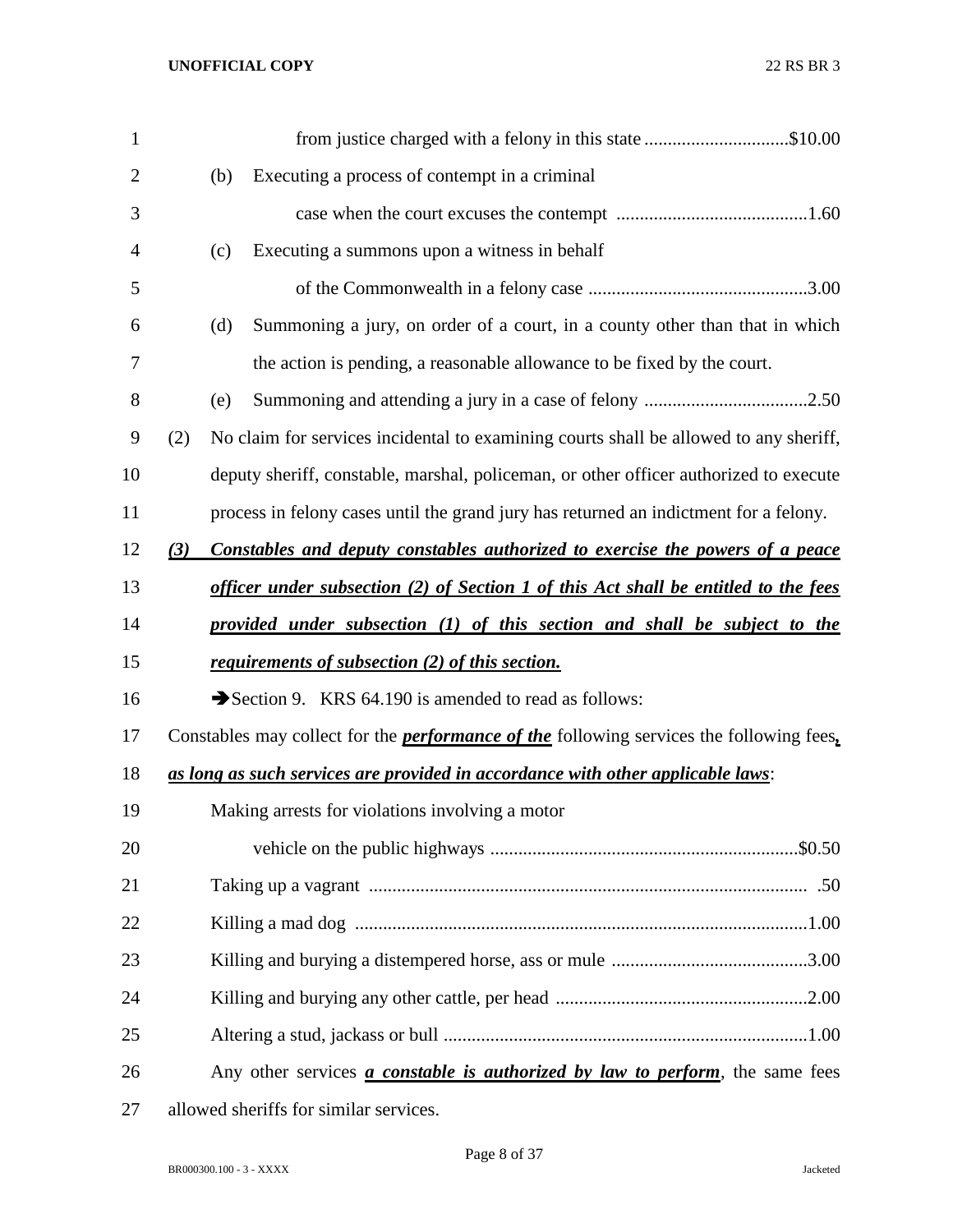| $\mathbf{1}$   |     | from justice charged with a felony in this state \$10.00                                        |
|----------------|-----|-------------------------------------------------------------------------------------------------|
| $\overline{2}$ | (b) | Executing a process of contempt in a criminal                                                   |
| 3              |     |                                                                                                 |
| 4              | (c) | Executing a summons upon a witness in behalf                                                    |
| 5              |     |                                                                                                 |
| 6              | (d) | Summoning a jury, on order of a court, in a county other than that in which                     |
| 7              |     | the action is pending, a reasonable allowance to be fixed by the court.                         |
| 8              | (e) |                                                                                                 |
| 9              | (2) | No claim for services incidental to examining courts shall be allowed to any sheriff,           |
| 10             |     | deputy sheriff, constable, marshal, policeman, or other officer authorized to execute           |
| 11             |     | process in felony cases until the grand jury has returned an indictment for a felony.           |
| 12             | (3) | Constables and deputy constables authorized to exercise the powers of a peace                   |
| 13             |     | officer under subsection (2) of Section 1 of this Act shall be entitled to the fees             |
| 14             |     | provided under subsection (1) of this section and shall be subject to the                       |
| 15             |     | requirements of subsection (2) of this section.                                                 |
| 16             |     | Section 9. KRS 64.190 is amended to read as follows:                                            |
| 17             |     | Constables may collect for the <i>performance of the</i> following services the following fees, |
| 18             |     | as long as such services are provided in accordance with other applicable laws:                 |
| 19             |     | Making arrests for violations involving a motor                                                 |
| 20             |     |                                                                                                 |
| 21             |     |                                                                                                 |
| 22             |     |                                                                                                 |
| 23             |     |                                                                                                 |
| 24             |     |                                                                                                 |
| 25             |     |                                                                                                 |
| 26             |     | Any other services <i>a constable is authorized by law to perform</i> , the same fees           |
| 27             |     | allowed sheriffs for similar services.                                                          |

BR000300.100 - 3 - XXXX Jacketed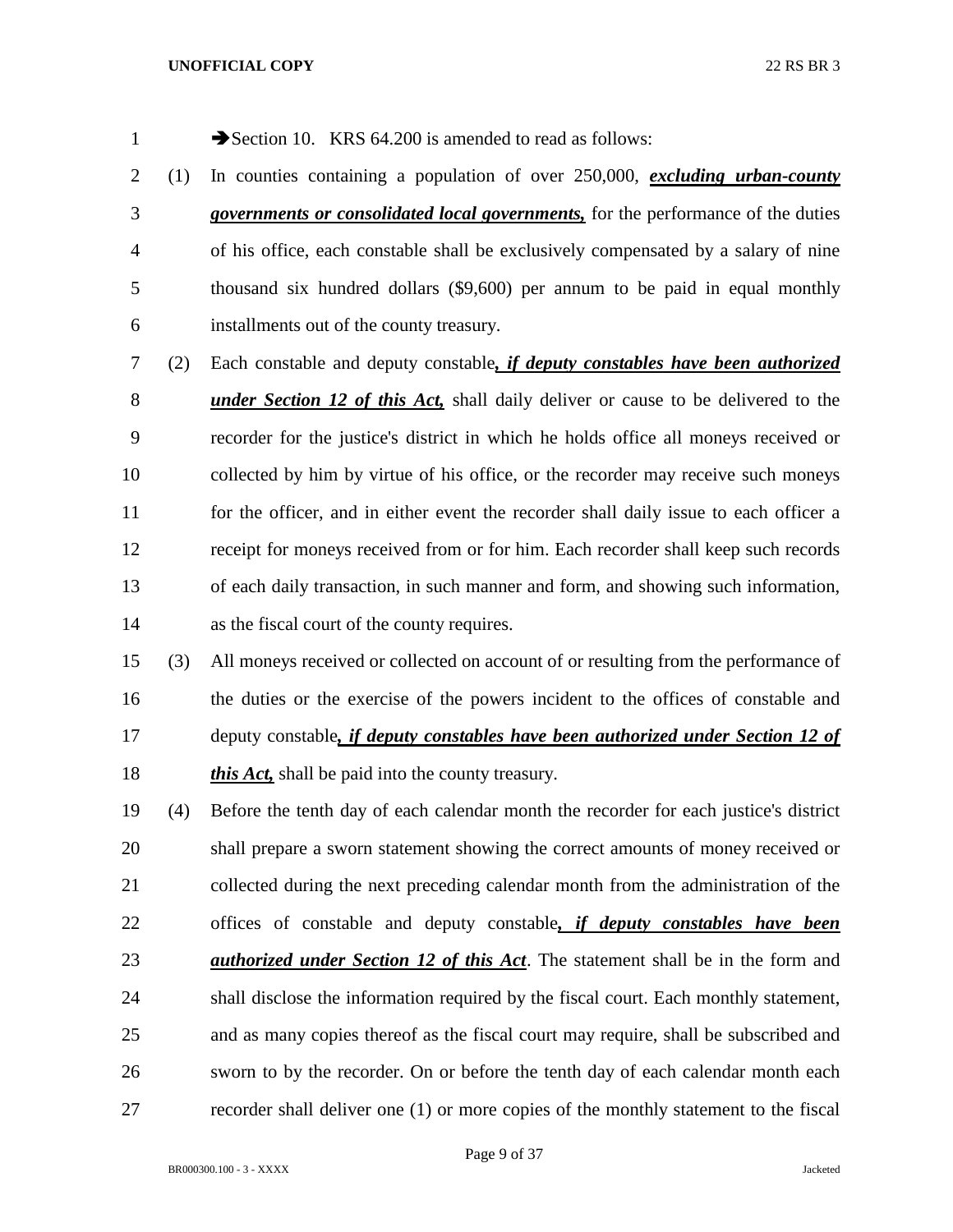- 1 Section 10. KRS 64.200 is amended to read as follows:
- (1) In counties containing a population of over 250,000, *excluding urban-county governments or consolidated local governments,* for the performance of the duties of his office, each constable shall be exclusively compensated by a salary of nine thousand six hundred dollars (\$9,600) per annum to be paid in equal monthly installments out of the county treasury.
- (2) Each constable and deputy constable*, if deputy constables have been authorized under Section 12 of this Act,* shall daily deliver or cause to be delivered to the recorder for the justice's district in which he holds office all moneys received or collected by him by virtue of his office, or the recorder may receive such moneys 11 for the officer, and in either event the recorder shall daily issue to each officer a receipt for moneys received from or for him. Each recorder shall keep such records of each daily transaction, in such manner and form, and showing such information, as the fiscal court of the county requires.
- (3) All moneys received or collected on account of or resulting from the performance of the duties or the exercise of the powers incident to the offices of constable and deputy constable*, if deputy constables have been authorized under Section 12 of this Act,* shall be paid into the county treasury.
- (4) Before the tenth day of each calendar month the recorder for each justice's district shall prepare a sworn statement showing the correct amounts of money received or collected during the next preceding calendar month from the administration of the offices of constable and deputy constable*, if deputy constables have been authorized under Section 12 of this Act*. The statement shall be in the form and shall disclose the information required by the fiscal court. Each monthly statement, and as many copies thereof as the fiscal court may require, shall be subscribed and sworn to by the recorder. On or before the tenth day of each calendar month each recorder shall deliver one (1) or more copies of the monthly statement to the fiscal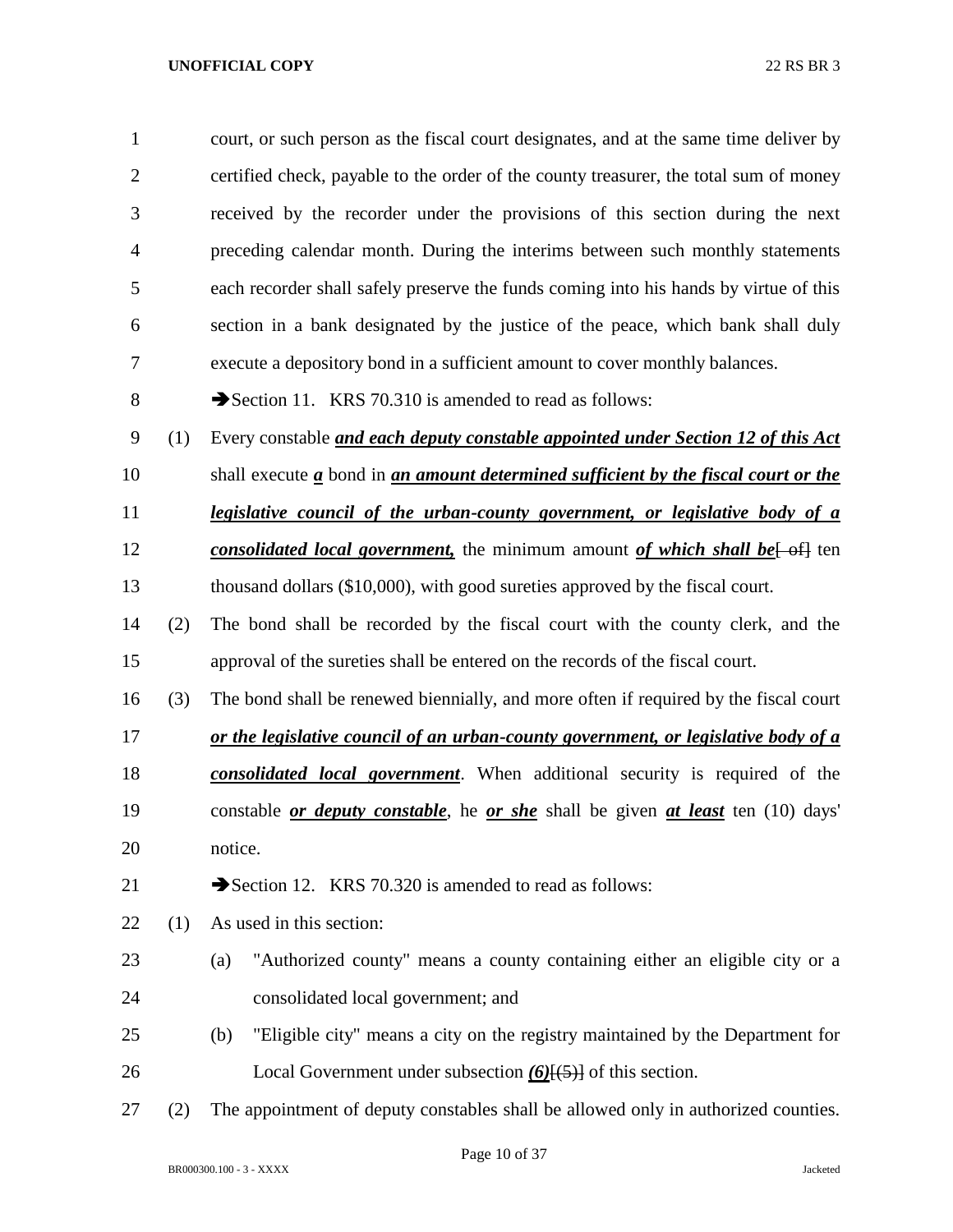| $\mathbf{1}$   |     | court, or such person as the fiscal court designates, and at the same time deliver by                          |  |  |
|----------------|-----|----------------------------------------------------------------------------------------------------------------|--|--|
| $\overline{2}$ |     | certified check, payable to the order of the county treasurer, the total sum of money                          |  |  |
| 3              |     | received by the recorder under the provisions of this section during the next                                  |  |  |
| $\overline{4}$ |     | preceding calendar month. During the interims between such monthly statements                                  |  |  |
| 5              |     | each recorder shall safely preserve the funds coming into his hands by virtue of this                          |  |  |
| 6              |     | section in a bank designated by the justice of the peace, which bank shall duly                                |  |  |
| 7              |     | execute a depository bond in a sufficient amount to cover monthly balances.                                    |  |  |
| 8              |     | Section 11. KRS 70.310 is amended to read as follows:                                                          |  |  |
| 9              | (1) | Every constable and each deputy constable appointed under Section 12 of this Act                               |  |  |
| 10             |     | shall execute $\underline{a}$ bond in $\underline{an}$ amount determined sufficient by the fiscal court or the |  |  |
| 11             |     | <u>legislative council of the urban-county government, or legislative body of a</u>                            |  |  |
| 12             |     | consolidated local government, the minimum amount of which shall be [-of] ten                                  |  |  |
| 13             |     | thousand dollars (\$10,000), with good sureties approved by the fiscal court.                                  |  |  |
| 14             | (2) | The bond shall be recorded by the fiscal court with the county clerk, and the                                  |  |  |
| 15             |     | approval of the sureties shall be entered on the records of the fiscal court.                                  |  |  |
| 16             | (3) | The bond shall be renewed biennially, and more often if required by the fiscal court                           |  |  |
| 17             |     | or the legislative council of an urban-county government, or legislative body of a                             |  |  |
| 18             |     | <b>consolidated local government</b> . When additional security is required of the                             |  |  |
| 19             |     | constable <i>or deputy constable</i> , he <i>or she</i> shall be given <i>at least</i> ten (10) days'          |  |  |
| 20             |     | notice.                                                                                                        |  |  |
| 21             |     | Section 12. KRS 70.320 is amended to read as follows:                                                          |  |  |
| 22             | (1) | As used in this section:                                                                                       |  |  |
| 23             |     | "Authorized county" means a county containing either an eligible city or a<br>(a)                              |  |  |
| 24             |     | consolidated local government; and                                                                             |  |  |
| 25             |     | "Eligible city" means a city on the registry maintained by the Department for<br>(b)                           |  |  |
| 26             |     | Local Government under subsection $(6)$ [ $(5)$ ] of this section.                                             |  |  |
| 27             | (2) | The appointment of deputy constables shall be allowed only in authorized counties.                             |  |  |

Page 10 of 37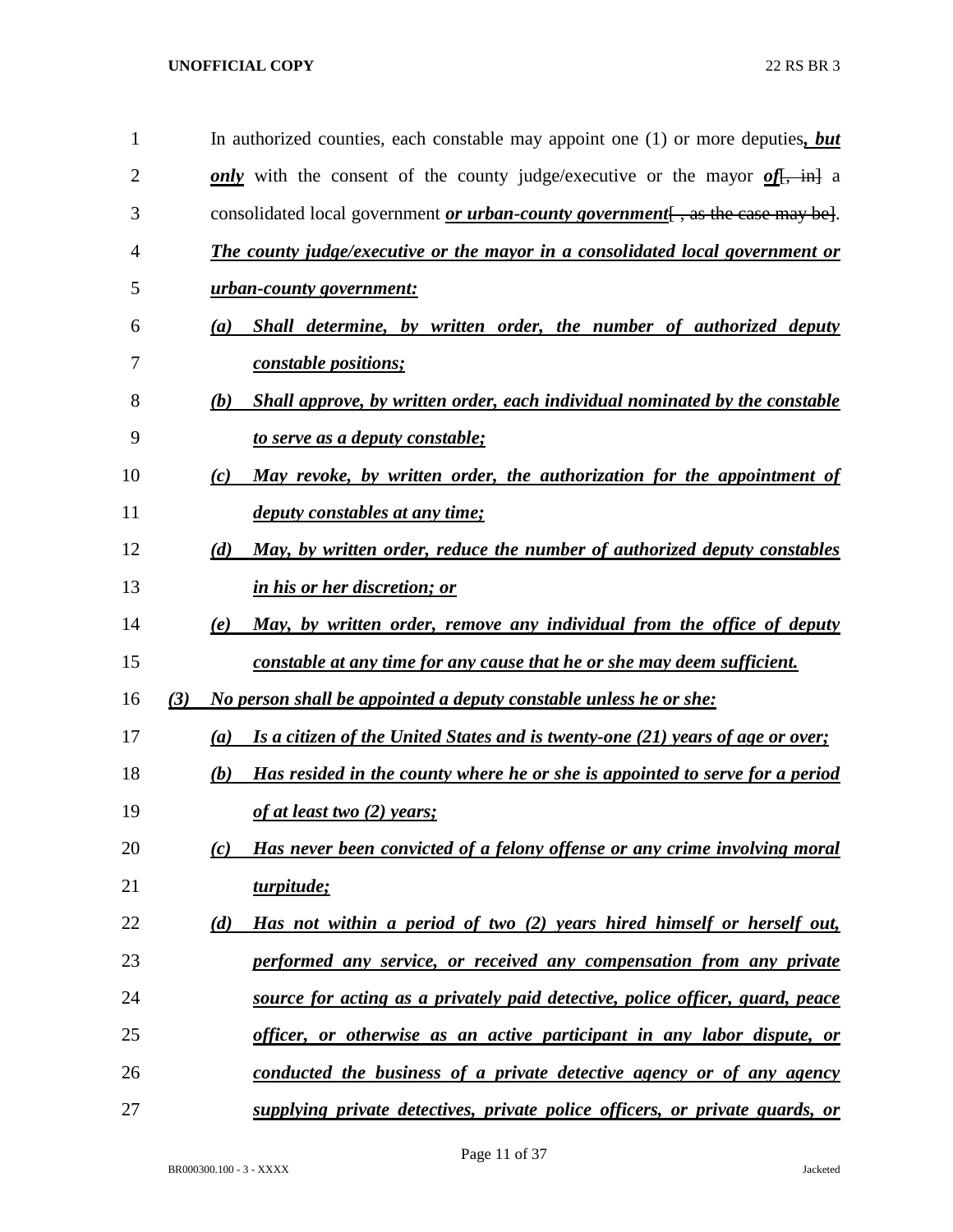| $\mathbf{1}$   |     | In authorized counties, each constable may appoint one $(1)$ or more deputies, but           |
|----------------|-----|----------------------------------------------------------------------------------------------|
| $\overline{2}$ |     | only with the consent of the county judge/executive or the mayor of $\frac{f}{f}$ , in a     |
| 3              |     | consolidated local government $or$ <i>urban-county government</i> $[$ , as the case may be]. |
| 4              |     | The county judge/executive or the mayor in a consolidated local government or                |
| 5              |     | urban-county government:                                                                     |
| 6              |     | Shall determine, by written order, the number of authorized deputy<br>$\left(a\right)$       |
| 7              |     | constable positions;                                                                         |
| 8              |     | Shall approve, by written order, each individual nominated by the constable<br>(b)           |
| 9              |     | to serve as a deputy constable;                                                              |
| 10             |     | May revoke, by written order, the authorization for the appointment of<br>(c)                |
| 11             |     | deputy constables at any time;                                                               |
| 12             |     | May, by written order, reduce the number of authorized deputy constables<br>(d)              |
| 13             |     | in his or her discretion; or                                                                 |
| 14             |     | May, by written order, remove any individual from the office of deputy<br>(e)                |
| 15             |     | constable at any time for any cause that he or she may deem sufficient.                      |
| 16             | (3) | No person shall be appointed a deputy constable unless he or she:                            |
| 17             |     | Is a citizen of the United States and is twenty-one (21) years of age or over;<br>(a)        |
| 18             |     | Has resided in the county where he or she is appointed to serve for a period<br>(b)          |
| 19             |     | of at least two $(2)$ years;                                                                 |
| 20             |     | Has never been convicted of a felony offense or any crime involving moral<br>(c)             |
| 21             |     | turpitude;                                                                                   |
| 22             |     | Has not within a period of two (2) years hired himself or herself out,<br>(d)                |
| 23             |     | performed any service, or received any compensation from any private                         |
| 24             |     | source for acting as a privately paid detective, police officer, guard, peace                |
| 25             |     | officer, or otherwise as an active participant in any labor dispute, or                      |
| 26             |     | conducted the business of a private detective agency or of any agency                        |
| 27             |     | supplying private detectives, private police officers, or private guards, or                 |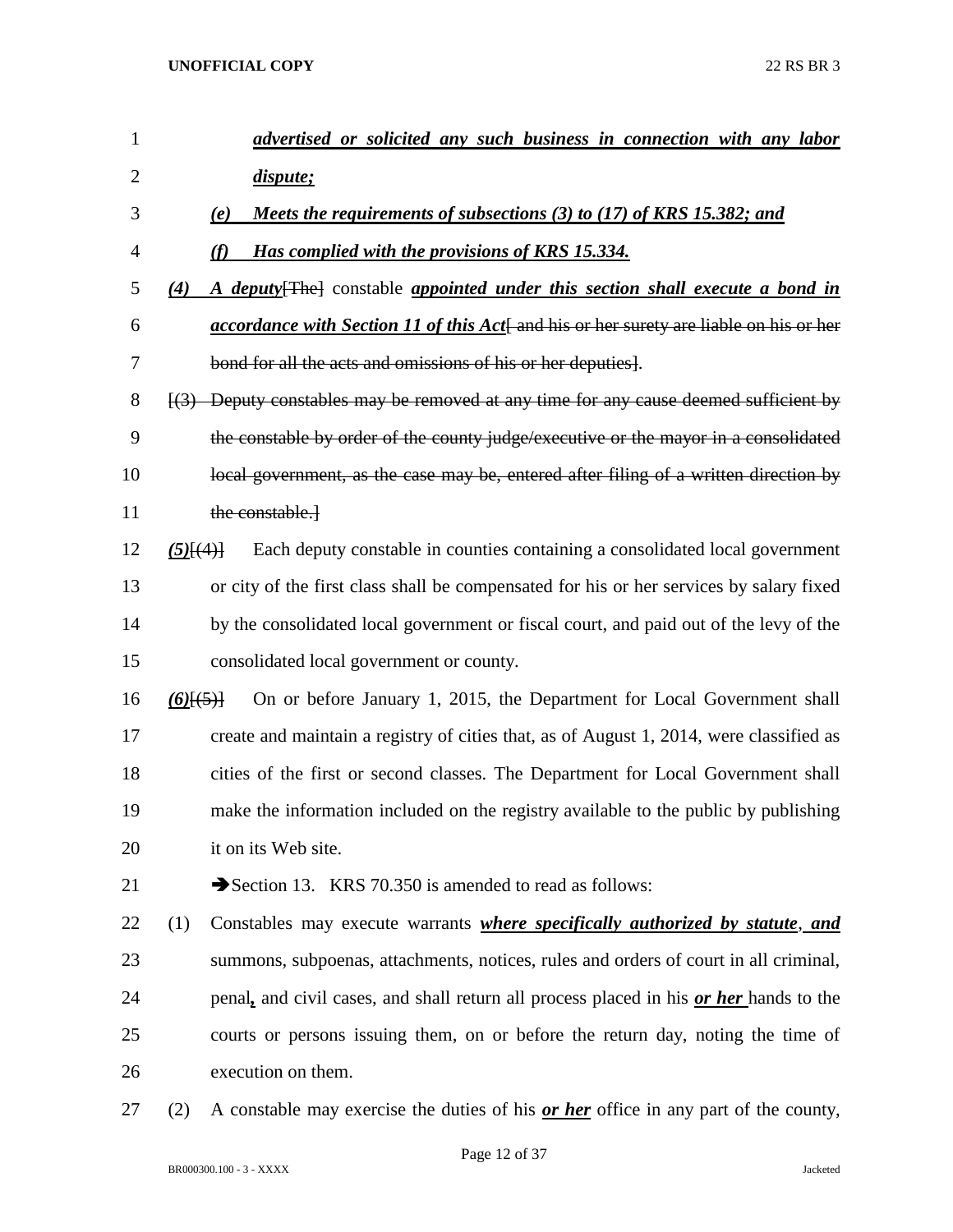| 1              |                 | advertised or solicited any such business in connection with any labor                                     |
|----------------|-----------------|------------------------------------------------------------------------------------------------------------|
| $\overline{2}$ |                 | <i>dispute</i> ;                                                                                           |
| 3              |                 | Meets the requirements of subsections (3) to (17) of KRS 15.382; and<br>(e)                                |
| $\overline{4}$ |                 | Has complied with the provisions of KRS 15.334.                                                            |
| 5              | (4)             | A deputy [The] constable appointed under this section shall execute a bond in                              |
| 6              |                 | <i>accordance with Section 11 of this Act</i> and his or her surety are liable on his or her               |
| 7              |                 | bond for all the acts and omissions of his or her deputies.                                                |
| 8              |                 | $\left[\frac{3}{2}\right]$ Deputy constables may be removed at any time for any cause deemed sufficient by |
| 9              |                 | the constable by order of the county judge/executive or the mayor in a consolidated                        |
| 10             |                 | local government, as the case may be, entered after filing of a written direction by                       |
| 11             |                 | the constable.                                                                                             |
| 12             | $(5)$ [ $(4)$ ] | Each deputy constable in counties containing a consolidated local government                               |
| 13             |                 | or city of the first class shall be compensated for his or her services by salary fixed                    |
| 14             |                 | by the consolidated local government or fiscal court, and paid out of the levy of the                      |
| 15             |                 | consolidated local government or county.                                                                   |
| 16             | $(6)$ $(5)$     | On or before January 1, 2015, the Department for Local Government shall                                    |
| 17             |                 | create and maintain a registry of cities that, as of August 1, 2014, were classified as                    |
| 18             |                 | cities of the first or second classes. The Department for Local Government shall                           |
| 19             |                 | make the information included on the registry available to the public by publishing                        |
| 20             |                 | it on its Web site.                                                                                        |
| 21             |                 | Section 13. KRS 70.350 is amended to read as follows:                                                      |
| 22             | (1)             | Constables may execute warrants <i>where specifically authorized by statute</i> , and                      |
| 23             |                 | summons, subpoenas, attachments, notices, rules and orders of court in all criminal,                       |
| 24             |                 | penal, and civil cases, and shall return all process placed in his or her hands to the                     |
| 25             |                 | courts or persons issuing them, on or before the return day, noting the time of                            |
| 26             |                 | execution on them.                                                                                         |
| 27             | (2)             | A constable may exercise the duties of his <b>or her</b> office in any part of the county,                 |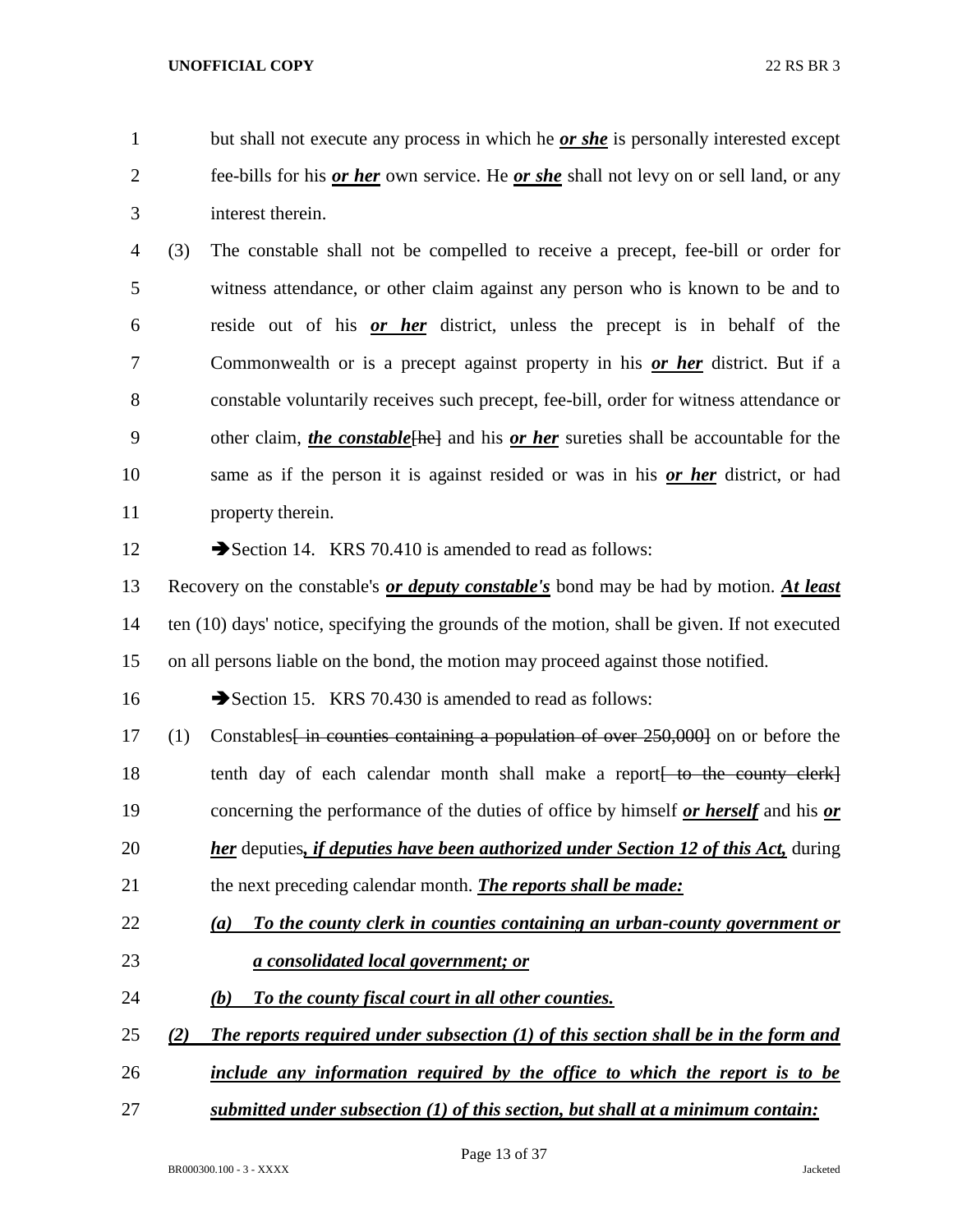but shall not execute any process in which he *or she* is personally interested except fee-bills for his *or her* own service. He *or she* shall not levy on or sell land, or any interest therein.

 (3) The constable shall not be compelled to receive a precept, fee-bill or order for witness attendance, or other claim against any person who is known to be and to reside out of his *or her* district, unless the precept is in behalf of the Commonwealth or is a precept against property in his *or her* district. But if a constable voluntarily receives such precept, fee-bill, order for witness attendance or 9 other claim, *the constable*<sup>[he]</sup> and his *or her* sureties shall be accountable for the same as if the person it is against resided or was in his *or her* district, or had property therein.

12 Section 14. KRS 70.410 is amended to read as follows:

 Recovery on the constable's *or deputy constable's* bond may be had by motion. *At least* ten (10) days' notice, specifying the grounds of the motion, shall be given. If not executed on all persons liable on the bond, the motion may proceed against those notified.

16 Section 15. KRS 70.430 is amended to read as follows:

17 (1) Constables<del>[ in counties containing a population of over 250,000]</del> on or before the 18 tenth day of each calendar month shall make a report to the county clerk concerning the performance of the duties of office by himself *or herself* and his *or her* deputies*, if deputies have been authorized under Section 12 of this Act,* during the next preceding calendar month. *The reports shall be made:*

- *(a) To the county clerk in counties containing an urban-county government or a consolidated local government; or*
- *(b) To the county fiscal court in all other counties.*
- *(2) The reports required under subsection (1) of this section shall be in the form and*
- *include any information required by the office to which the report is to be*
- *submitted under subsection (1) of this section, but shall at a minimum contain:*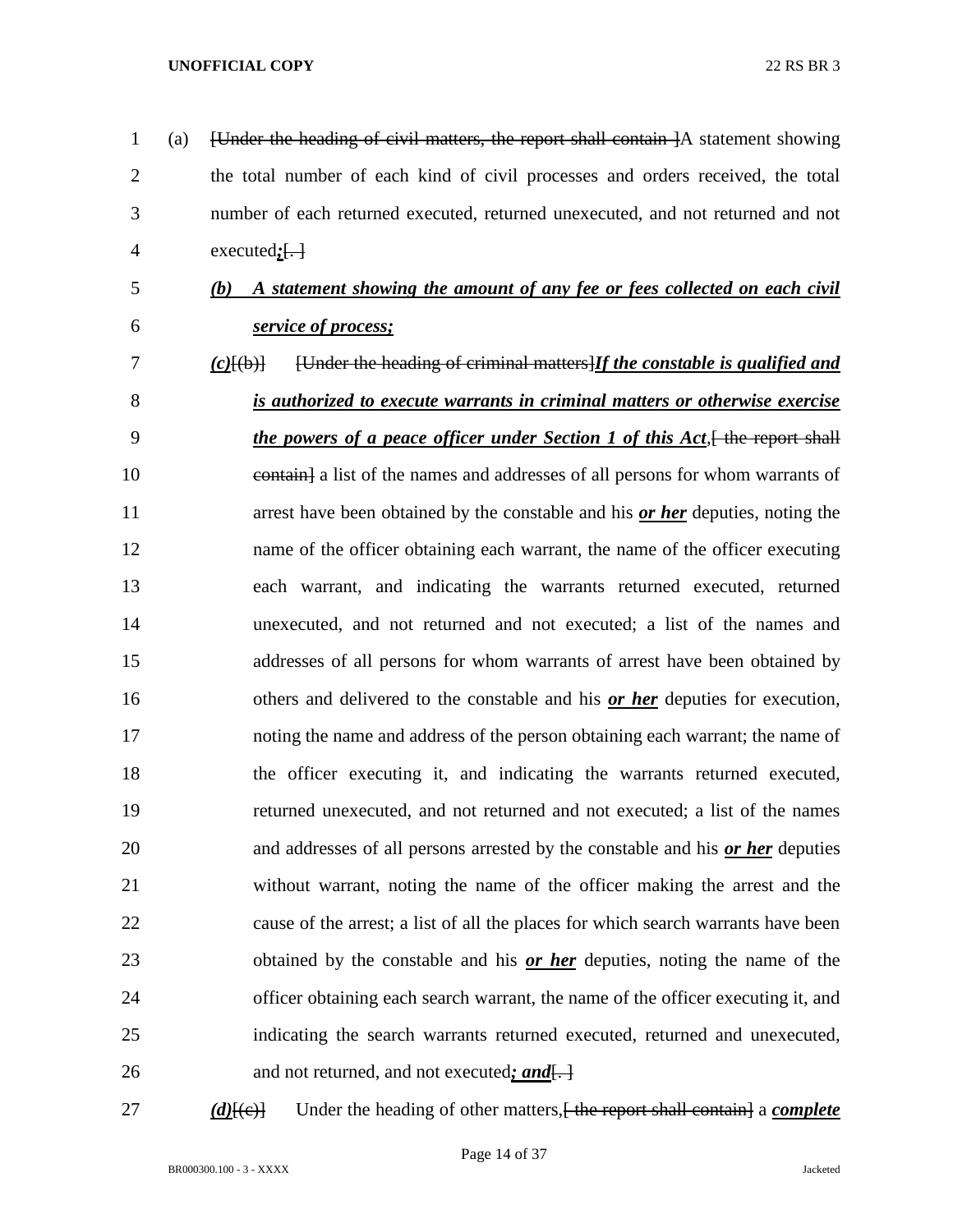| 1              | (a) | [Under the heading of civil matters, the report shall contain ]A statement showing              |
|----------------|-----|-------------------------------------------------------------------------------------------------|
| $\overline{2}$ |     | the total number of each kind of civil processes and orders received, the total                 |
| 3              |     | number of each returned executed, returned unexecuted, and not returned and not                 |
| $\overline{4}$ |     | executed $:\left\{ \cdot \right\}$                                                              |
| 5              |     | A statement showing the amount of any fee or fees collected on each civil<br>(b)                |
| 6              |     | service of process;                                                                             |
| 7              |     | [Under the heading of criminal matters] If the constable is qualified and<br>$(c)$ $\{(\phi)\}$ |
| 8              |     | is authorized to execute warrants in criminal matters or otherwise exercise                     |
| 9              |     | the powers of a peace officer under Section 1 of this Act, the report shall                     |
| 10             |     | eontain] a list of the names and addresses of all persons for whom warrants of                  |
| 11             |     | arrest have been obtained by the constable and his <u>or her</u> deputies, noting the           |
| 12             |     | name of the officer obtaining each warrant, the name of the officer executing                   |
| 13             |     | each warrant, and indicating the warrants returned executed, returned                           |
| 14             |     | unexecuted, and not returned and not executed; a list of the names and                          |
| 15             |     | addresses of all persons for whom warrants of arrest have been obtained by                      |
| 16             |     | others and delivered to the constable and his <u>or her</u> deputies for execution,             |
| 17             |     | noting the name and address of the person obtaining each warrant; the name of                   |
| 18             |     | the officer executing it, and indicating the warrants returned executed,                        |
| 19             |     | returned unexecuted, and not returned and not executed; a list of the names                     |
| 20             |     | and addresses of all persons arrested by the constable and his or her deputies                  |
| 21             |     | without warrant, noting the name of the officer making the arrest and the                       |
| 22             |     | cause of the arrest; a list of all the places for which search warrants have been               |
| 23             |     | obtained by the constable and his or her deputies, noting the name of the                       |
| 24             |     | officer obtaining each search warrant, the name of the officer executing it, and                |
| 25             |     | indicating the search warrants returned executed, returned and unexecuted,                      |
| 26             |     | and not returned, and not executed; and.                                                        |
|                |     |                                                                                                 |

*(d)*[(e)] Under the heading of other matters, the report shall contain a *complete*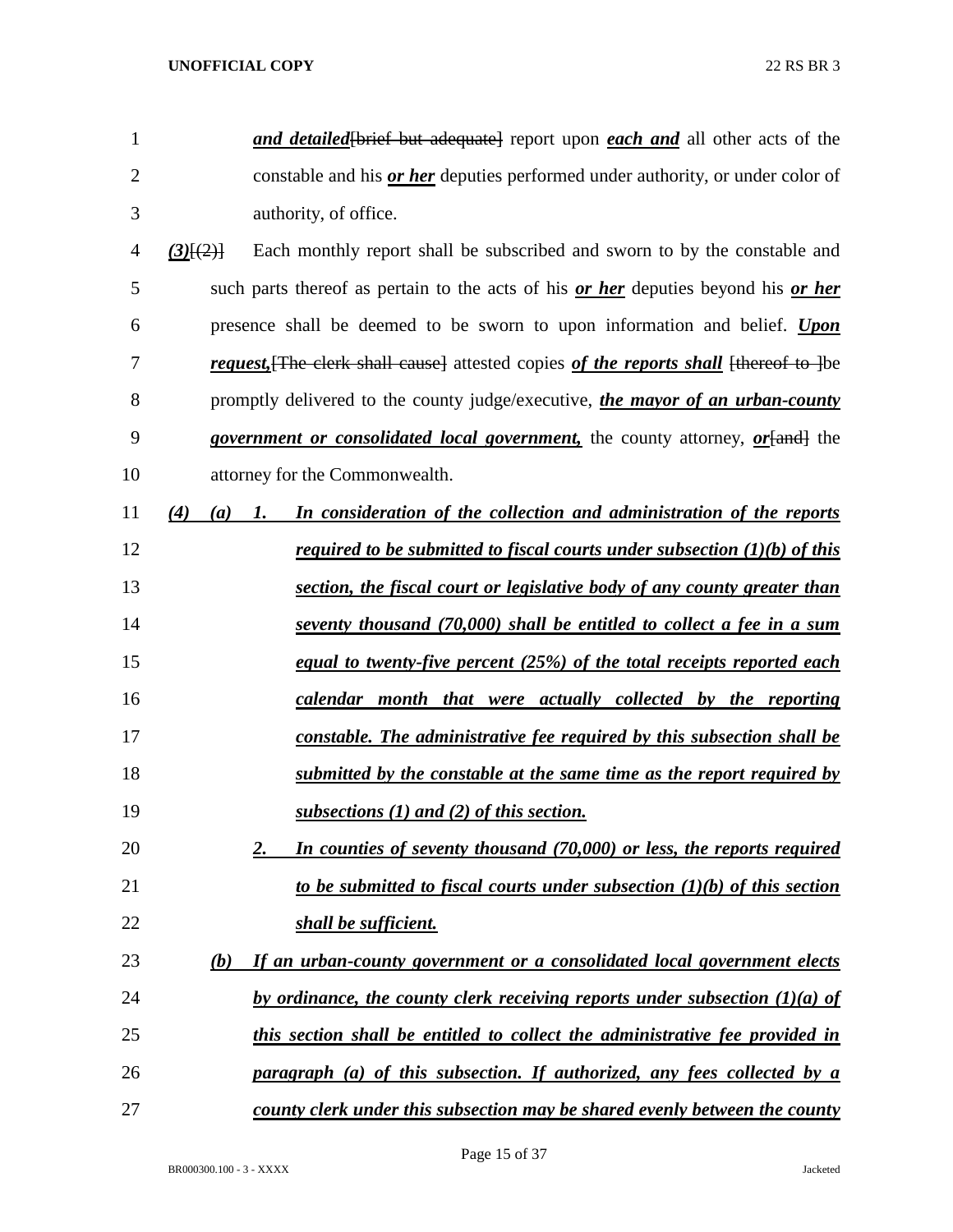| 1              | and detailed [brief but adequate] report upon each and all other acts of the                  |
|----------------|-----------------------------------------------------------------------------------------------|
| $\overline{2}$ | constable and his <i>or her</i> deputies performed under authority, or under color of         |
| 3              | authority, of office.                                                                         |
| 4              | Each monthly report shall be subscribed and sworn to by the constable and<br>$(3)$ [ $(2)$ ]  |
| 5              | such parts thereof as pertain to the acts of his <u>or her</u> deputies beyond his or her     |
| 6              | presence shall be deemed to be sworn to upon information and belief. Upon                     |
| 7              | <i>request</i> , The clerk shall cause] attested copies of the reports shall thereof to lbe   |
| 8              | promptly delivered to the county judge/executive, the mayor of an urban-county                |
| 9              | <i>government or consolidated local government</i> , the county attorney, <i>or</i> [and] the |
| 10             | attorney for the Commonwealth.                                                                |
| 11             | (4)<br>In consideration of the collection and administration of the reports<br>(a)<br>1.      |
| 12             | <i>required to be submitted to fiscal courts under subsection <math>(1)(b)</math> of this</i> |
| 13             | section, the fiscal court or legislative body of any county greater than                      |
| 14             | seventy thousand (70,000) shall be entitled to collect a fee in a sum                         |
| 15             | equal to twenty-five percent (25%) of the total receipts reported each                        |
| 16             | calendar month that were actually collected by the reporting                                  |
| 17             | constable. The administrative fee required by this subsection shall be                        |
| 18             | submitted by the constable at the same time as the report required by                         |
| 19             | subsections (1) and (2) of this section.                                                      |
| 20             | In counties of seventy thousand (70,000) or less, the reports required<br>2.                  |
| 21             | to be submitted to fiscal courts under subsection $(1)(b)$ of this section                    |
| 22             | shall be sufficient.                                                                          |
| 23             | If an urban-county government or a consolidated local government elects<br>(b)                |
| 24             | by ordinance, the county clerk receiving reports under subsection $(1)(a)$ of                 |
| 25             | this section shall be entitled to collect the administrative fee provided in                  |
| 26             | paragraph (a) of this subsection. If authorized, any fees collected by a                      |
| 27             | county clerk under this subsection may be shared evenly between the county                    |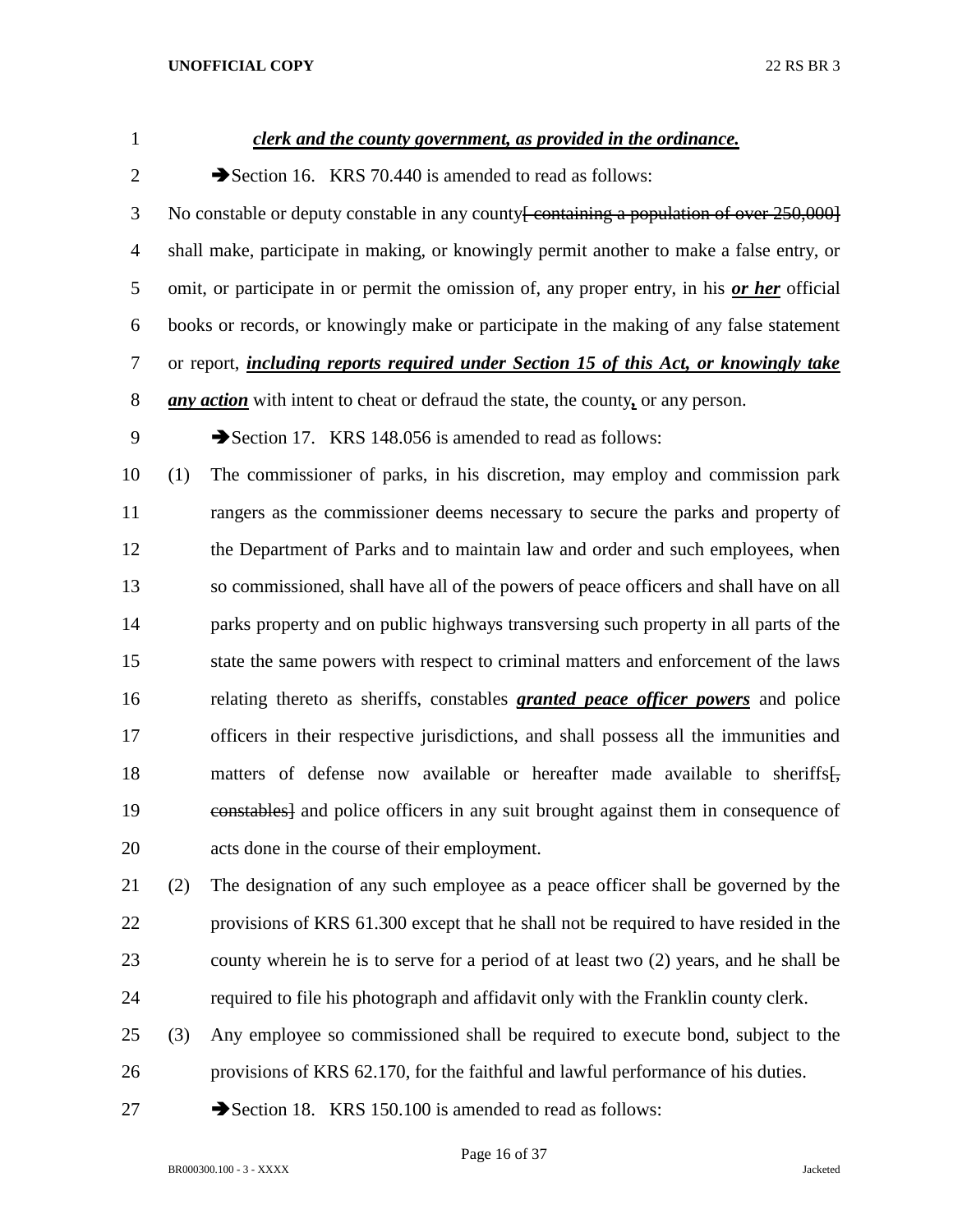| $\mathbf{1}$   |     | clerk and the county government, as provided in the ordinance.                                       |
|----------------|-----|------------------------------------------------------------------------------------------------------|
| $\overline{2}$ |     | Section 16. KRS 70.440 is amended to read as follows:                                                |
| 3              |     | No constable or deputy constable in any county <del>[ containing a population of over 250,000]</del> |
| $\overline{4}$ |     | shall make, participate in making, or knowingly permit another to make a false entry, or             |
| 5              |     | omit, or participate in or permit the omission of, any proper entry, in his or her official          |
| 6              |     | books or records, or knowingly make or participate in the making of any false statement              |
| 7              |     | or report, <i>including reports required under Section 15 of this Act, or knowingly take</i>         |
| 8              |     | <i>any action</i> with intent to cheat or defraud the state, the county, or any person.              |
| 9              |     | Section 17. KRS 148.056 is amended to read as follows:                                               |
| 10             | (1) | The commissioner of parks, in his discretion, may employ and commission park                         |
| 11             |     | rangers as the commissioner deems necessary to secure the parks and property of                      |
| 12             |     | the Department of Parks and to maintain law and order and such employees, when                       |
| 13             |     | so commissioned, shall have all of the powers of peace officers and shall have on all                |
| 14             |     | parks property and on public highways transversing such property in all parts of the                 |
| 15             |     | state the same powers with respect to criminal matters and enforcement of the laws                   |
| 16             |     | relating thereto as sheriffs, constables <i>granted peace officer powers</i> and police              |
| 17             |     | officers in their respective jurisdictions, and shall possess all the immunities and                 |
| 18             |     | matters of defense now available or hereafter made available to sheriffs.                            |
| 19             |     | eonstables] and police officers in any suit brought against them in consequence of                   |
| 20             |     | acts done in the course of their employment.                                                         |
| 21             | (2) | The designation of any such employee as a peace officer shall be governed by the                     |
| 22             |     | provisions of KRS 61.300 except that he shall not be required to have resided in the                 |
| 23             |     | county wherein he is to serve for a period of at least two (2) years, and he shall be                |
| 24             |     | required to file his photograph and affidavit only with the Franklin county clerk.                   |
| 25             | (3) | Any employee so commissioned shall be required to execute bond, subject to the                       |
|                |     |                                                                                                      |

provisions of KRS 62.170, for the faithful and lawful performance of his duties.

27 Section 18. KRS 150.100 is amended to read as follows:

Page 16 of 37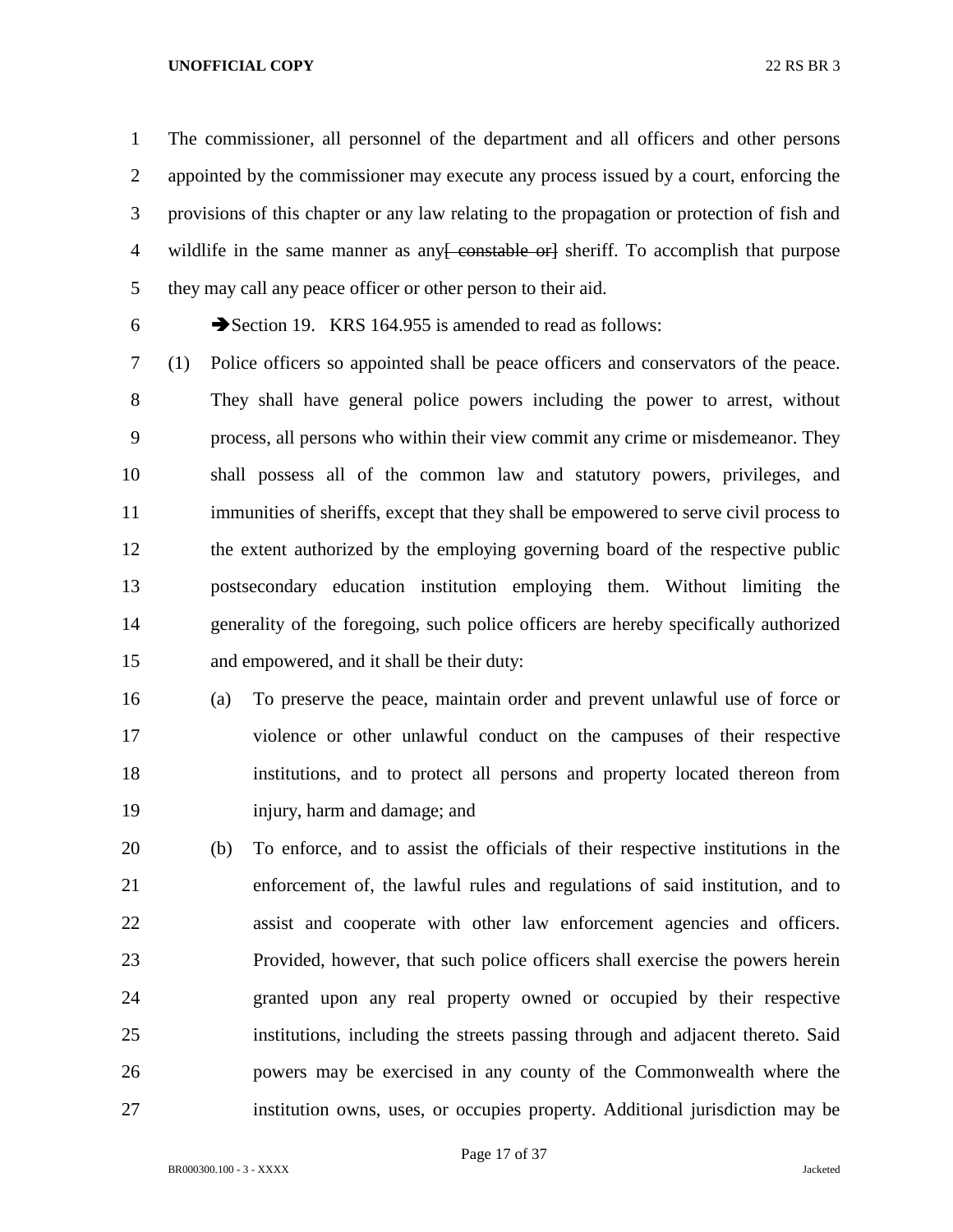The commissioner, all personnel of the department and all officers and other persons appointed by the commissioner may execute any process issued by a court, enforcing the provisions of this chapter or any law relating to the propagation or protection of fish and 4 wildlife in the same manner as any constable or estimate orly sheet if. To accomplish that purpose they may call any peace officer or other person to their aid.

6 Section 19. KRS 164.955 is amended to read as follows:

 (1) Police officers so appointed shall be peace officers and conservators of the peace. They shall have general police powers including the power to arrest, without process, all persons who within their view commit any crime or misdemeanor. They shall possess all of the common law and statutory powers, privileges, and immunities of sheriffs, except that they shall be empowered to serve civil process to the extent authorized by the employing governing board of the respective public postsecondary education institution employing them. Without limiting the generality of the foregoing, such police officers are hereby specifically authorized and empowered, and it shall be their duty:

 (a) To preserve the peace, maintain order and prevent unlawful use of force or violence or other unlawful conduct on the campuses of their respective institutions, and to protect all persons and property located thereon from injury, harm and damage; and

 (b) To enforce, and to assist the officials of their respective institutions in the enforcement of, the lawful rules and regulations of said institution, and to assist and cooperate with other law enforcement agencies and officers. Provided, however, that such police officers shall exercise the powers herein granted upon any real property owned or occupied by their respective institutions, including the streets passing through and adjacent thereto. Said powers may be exercised in any county of the Commonwealth where the institution owns, uses, or occupies property. Additional jurisdiction may be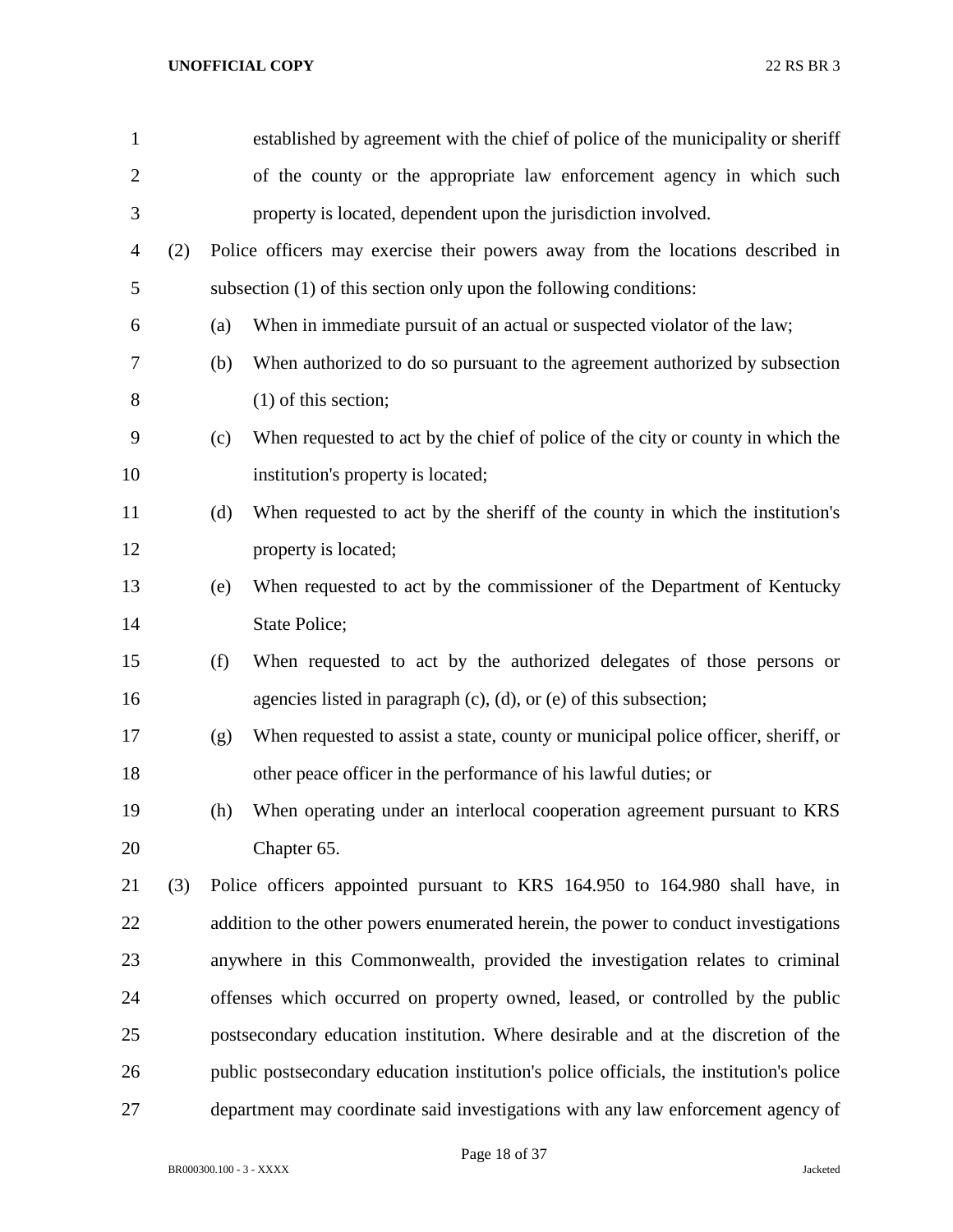| $\mathbf{1}$   |     |     | established by agreement with the chief of police of the municipality or sheriff        |
|----------------|-----|-----|-----------------------------------------------------------------------------------------|
| $\overline{2}$ |     |     | of the county or the appropriate law enforcement agency in which such                   |
| 3              |     |     | property is located, dependent upon the jurisdiction involved.                          |
| $\overline{4}$ | (2) |     | Police officers may exercise their powers away from the locations described in          |
| 5              |     |     | subsection (1) of this section only upon the following conditions:                      |
| 6              |     | (a) | When in immediate pursuit of an actual or suspected violator of the law;                |
| 7              |     | (b) | When authorized to do so pursuant to the agreement authorized by subsection             |
| 8              |     |     | $(1)$ of this section;                                                                  |
| 9              |     | (c) | When requested to act by the chief of police of the city or county in which the         |
| 10             |     |     | institution's property is located;                                                      |
| 11             |     | (d) | When requested to act by the sheriff of the county in which the institution's           |
| 12             |     |     | property is located;                                                                    |
| 13             |     | (e) | When requested to act by the commissioner of the Department of Kentucky                 |
| 14             |     |     | State Police;                                                                           |
| 15             |     | (f) | When requested to act by the authorized delegates of those persons or                   |
| 16             |     |     | agencies listed in paragraph $(c)$ , $(d)$ , or $(e)$ of this subsection;               |
| 17             |     | (g) | When requested to assist a state, county or municipal police officer, sheriff, or       |
| 18             |     |     | other peace officer in the performance of his lawful duties; or                         |
| 19             |     | (h) | When operating under an interlocal cooperation agreement pursuant to KRS                |
| 20             |     |     | Chapter 65.                                                                             |
| 21             | (3) |     | Police officers appointed pursuant to KRS 164.950 to 164.980 shall have, in             |
| 22             |     |     | addition to the other powers enumerated herein, the power to conduct investigations     |
| 23             |     |     | anywhere in this Commonwealth, provided the investigation relates to criminal           |
| 24             |     |     | offenses which occurred on property owned, leased, or controlled by the public          |
| 25             |     |     | postsecondary education institution. Where desirable and at the discretion of the       |
| 26             |     |     | public postsecondary education institution's police officials, the institution's police |
| 27             |     |     | department may coordinate said investigations with any law enforcement agency of        |

Page 18 of 37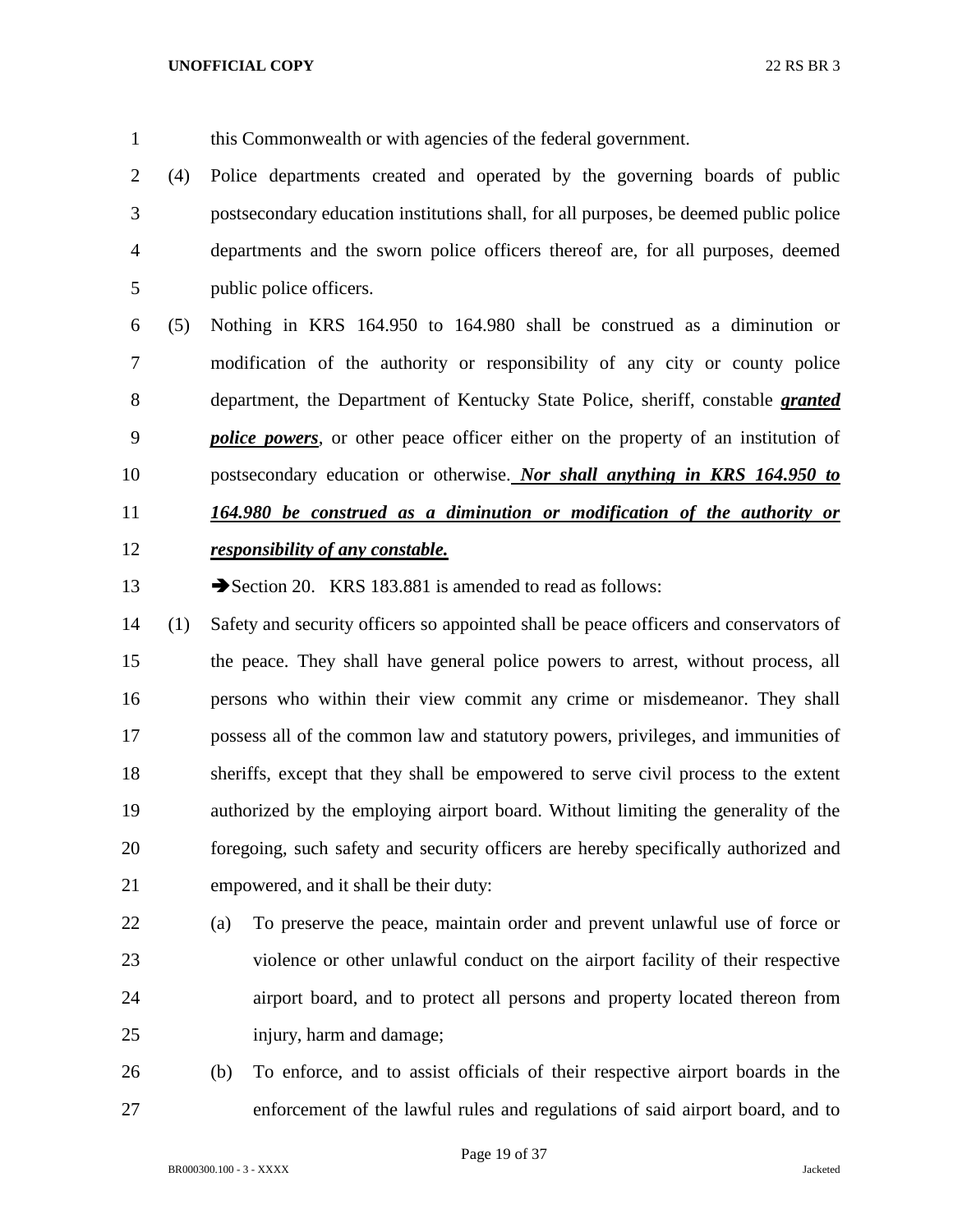this Commonwealth or with agencies of the federal government.

 (4) Police departments created and operated by the governing boards of public postsecondary education institutions shall, for all purposes, be deemed public police departments and the sworn police officers thereof are, for all purposes, deemed public police officers.

 (5) Nothing in KRS 164.950 to 164.980 shall be construed as a diminution or modification of the authority or responsibility of any city or county police department, the Department of Kentucky State Police, sheriff, constable *granted police powers*, or other peace officer either on the property of an institution of postsecondary education or otherwise. *Nor shall anything in KRS 164.950 to 164.980 be construed as a diminution or modification of the authority or responsibility of any constable.*

13 Section 20. KRS 183.881 is amended to read as follows:

 (1) Safety and security officers so appointed shall be peace officers and conservators of the peace. They shall have general police powers to arrest, without process, all persons who within their view commit any crime or misdemeanor. They shall possess all of the common law and statutory powers, privileges, and immunities of sheriffs, except that they shall be empowered to serve civil process to the extent authorized by the employing airport board. Without limiting the generality of the foregoing, such safety and security officers are hereby specifically authorized and empowered, and it shall be their duty:

 (a) To preserve the peace, maintain order and prevent unlawful use of force or violence or other unlawful conduct on the airport facility of their respective airport board, and to protect all persons and property located thereon from injury, harm and damage;

 (b) To enforce, and to assist officials of their respective airport boards in the enforcement of the lawful rules and regulations of said airport board, and to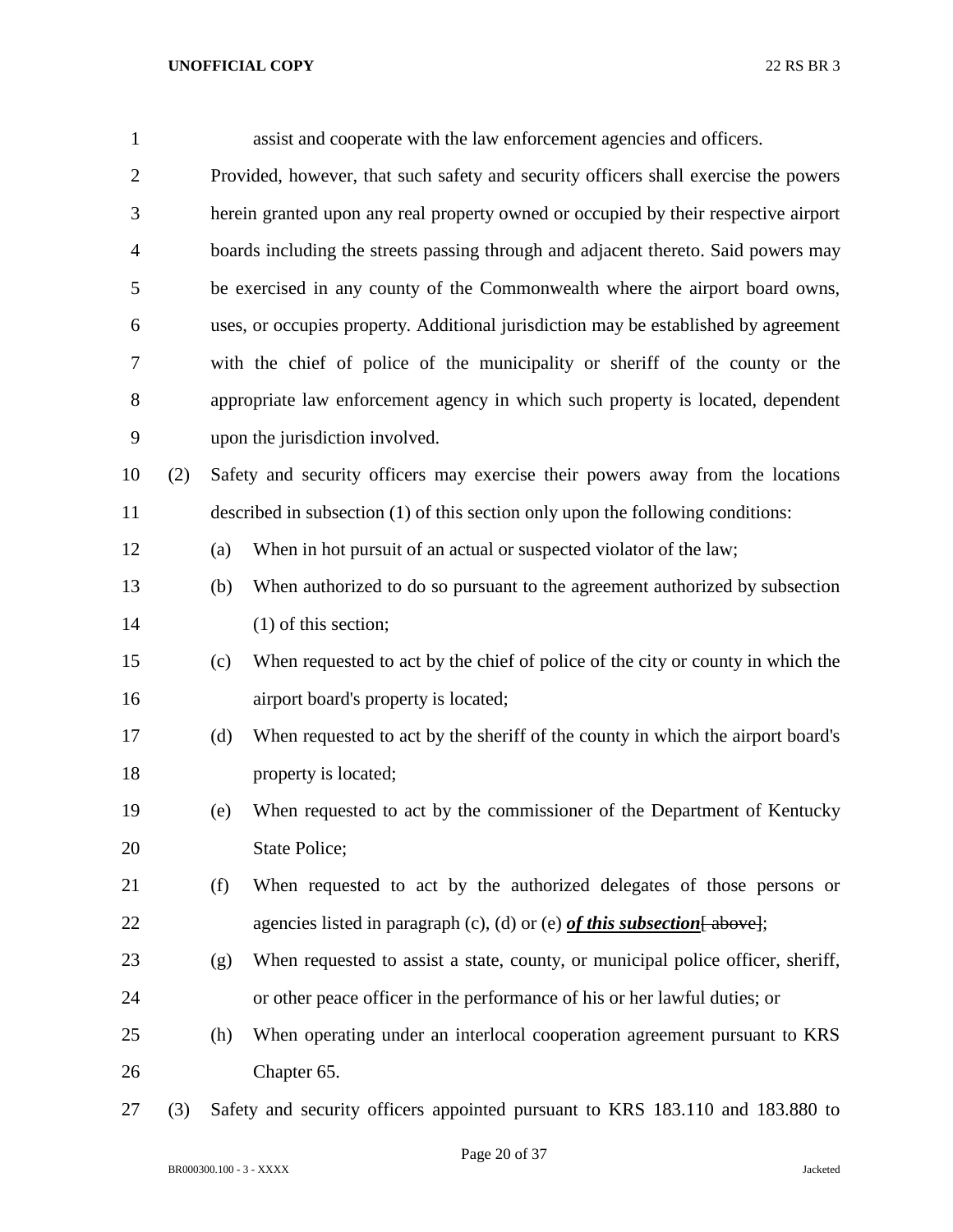| $\mathbf{1}$   |     |     | assist and cooperate with the law enforcement agencies and officers.                |
|----------------|-----|-----|-------------------------------------------------------------------------------------|
| $\overline{2}$ |     |     | Provided, however, that such safety and security officers shall exercise the powers |
| 3              |     |     | herein granted upon any real property owned or occupied by their respective airport |
| $\overline{4}$ |     |     | boards including the streets passing through and adjacent thereto. Said powers may  |
| 5              |     |     | be exercised in any county of the Commonwealth where the airport board owns,        |
| 6              |     |     | uses, or occupies property. Additional jurisdiction may be established by agreement |
| 7              |     |     | with the chief of police of the municipality or sheriff of the county or the        |
| 8              |     |     | appropriate law enforcement agency in which such property is located, dependent     |
| 9              |     |     | upon the jurisdiction involved.                                                     |
| 10             | (2) |     | Safety and security officers may exercise their powers away from the locations      |
| 11             |     |     | described in subsection (1) of this section only upon the following conditions:     |
| 12             |     | (a) | When in hot pursuit of an actual or suspected violator of the law;                  |
| 13             |     | (b) | When authorized to do so pursuant to the agreement authorized by subsection         |
| 14             |     |     | $(1)$ of this section;                                                              |
| 15             |     | (c) | When requested to act by the chief of police of the city or county in which the     |
| 16             |     |     | airport board's property is located;                                                |
| 17             |     | (d) | When requested to act by the sheriff of the county in which the airport board's     |
| 18             |     |     | property is located;                                                                |
| 19             |     | (e) | When requested to act by the commissioner of the Department of Kentucky             |
| 20             |     |     | State Police;                                                                       |
| 21             |     | (f) | When requested to act by the authorized delegates of those persons or               |
| 22             |     |     | agencies listed in paragraph (c), (d) or (e) of this subsection $\left[$ above];    |
| 23             |     | (g) | When requested to assist a state, county, or municipal police officer, sheriff,     |
| 24             |     |     | or other peace officer in the performance of his or her lawful duties; or           |
| 25             |     | (h) | When operating under an interlocal cooperation agreement pursuant to KRS            |
| 26             |     |     | Chapter 65.                                                                         |
|                |     |     |                                                                                     |

(3) Safety and security officers appointed pursuant to KRS 183.110 and 183.880 to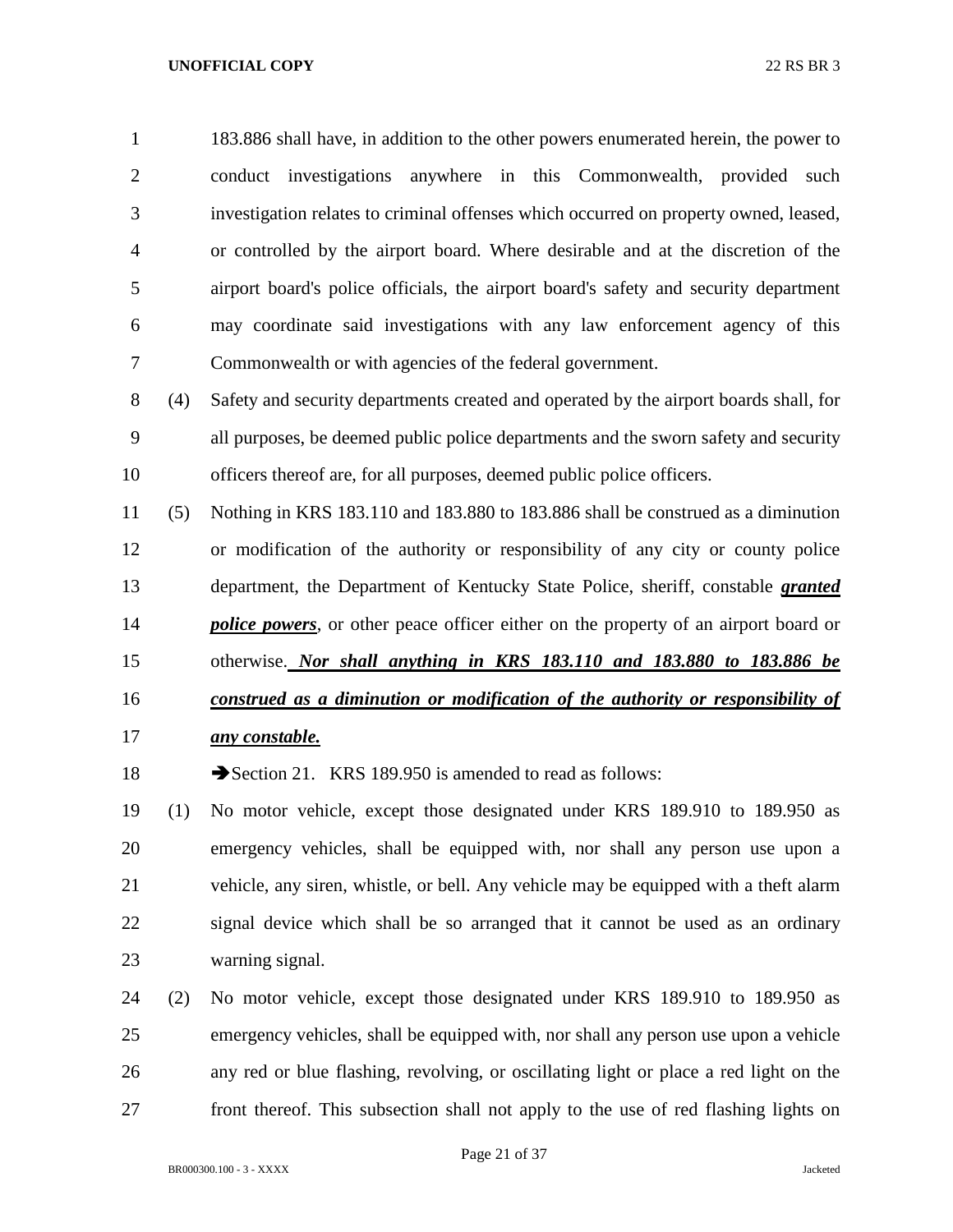183.886 shall have, in addition to the other powers enumerated herein, the power to conduct investigations anywhere in this Commonwealth, provided such investigation relates to criminal offenses which occurred on property owned, leased, or controlled by the airport board. Where desirable and at the discretion of the airport board's police officials, the airport board's safety and security department may coordinate said investigations with any law enforcement agency of this Commonwealth or with agencies of the federal government.

 (4) Safety and security departments created and operated by the airport boards shall, for all purposes, be deemed public police departments and the sworn safety and security officers thereof are, for all purposes, deemed public police officers.

 (5) Nothing in KRS 183.110 and 183.880 to 183.886 shall be construed as a diminution or modification of the authority or responsibility of any city or county police department, the Department of Kentucky State Police, sheriff, constable *granted police powers*, or other peace officer either on the property of an airport board or otherwise. *Nor shall anything in KRS 183.110 and 183.880 to 183.886 be construed as a diminution or modification of the authority or responsibility of* 

*any constable.*

18 Section 21. KRS 189.950 is amended to read as follows:

 (1) No motor vehicle, except those designated under KRS 189.910 to 189.950 as emergency vehicles, shall be equipped with, nor shall any person use upon a vehicle, any siren, whistle, or bell. Any vehicle may be equipped with a theft alarm signal device which shall be so arranged that it cannot be used as an ordinary warning signal.

 (2) No motor vehicle, except those designated under KRS 189.910 to 189.950 as emergency vehicles, shall be equipped with, nor shall any person use upon a vehicle any red or blue flashing, revolving, or oscillating light or place a red light on the front thereof. This subsection shall not apply to the use of red flashing lights on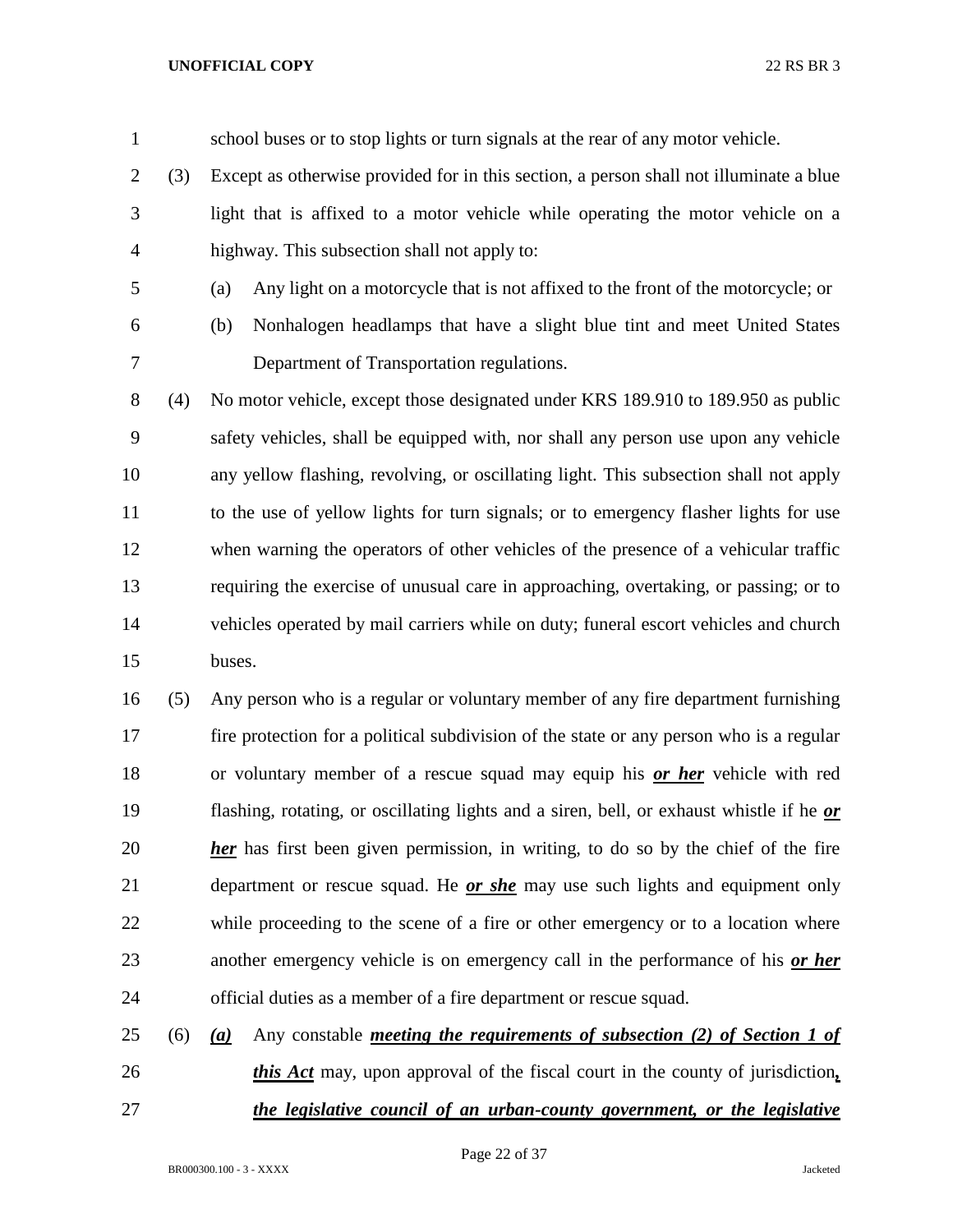school buses or to stop lights or turn signals at the rear of any motor vehicle.

- (3) Except as otherwise provided for in this section, a person shall not illuminate a blue light that is affixed to a motor vehicle while operating the motor vehicle on a highway. This subsection shall not apply to:
- (a) Any light on a motorcycle that is not affixed to the front of the motorcycle; or
- 
- (b) Nonhalogen headlamps that have a slight blue tint and meet United States

Department of Transportation regulations.

 (4) No motor vehicle, except those designated under KRS 189.910 to 189.950 as public safety vehicles, shall be equipped with, nor shall any person use upon any vehicle any yellow flashing, revolving, or oscillating light. This subsection shall not apply to the use of yellow lights for turn signals; or to emergency flasher lights for use when warning the operators of other vehicles of the presence of a vehicular traffic requiring the exercise of unusual care in approaching, overtaking, or passing; or to vehicles operated by mail carriers while on duty; funeral escort vehicles and church buses.

 (5) Any person who is a regular or voluntary member of any fire department furnishing fire protection for a political subdivision of the state or any person who is a regular or voluntary member of a rescue squad may equip his *or her* vehicle with red flashing, rotating, or oscillating lights and a siren, bell, or exhaust whistle if he *or her* has first been given permission, in writing, to do so by the chief of the fire department or rescue squad. He *or she* may use such lights and equipment only while proceeding to the scene of a fire or other emergency or to a location where another emergency vehicle is on emergency call in the performance of his *or her* official duties as a member of a fire department or rescue squad.

 (6) *(a)* Any constable *meeting the requirements of subsection (2) of Section 1 of this Act* may, upon approval of the fiscal court in the county of jurisdiction*, the legislative council of an urban-county government, or the legislative*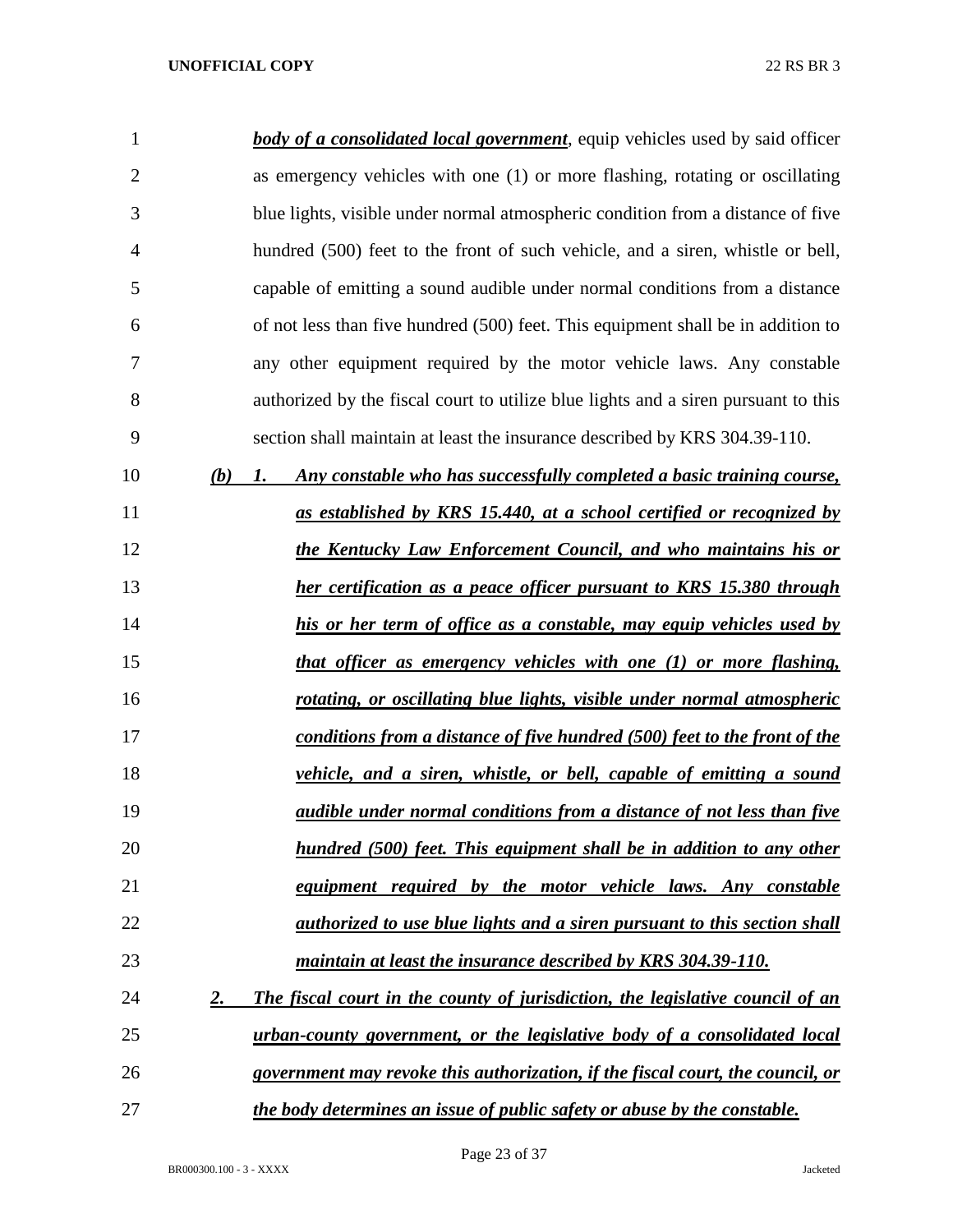| 1              | <b>body of a consolidated local government</b> , equip vehicles used by said officer |
|----------------|--------------------------------------------------------------------------------------|
| $\overline{2}$ | as emergency vehicles with one (1) or more flashing, rotating or oscillating         |
| 3              | blue lights, visible under normal atmospheric condition from a distance of five      |
| $\overline{4}$ | hundred (500) feet to the front of such vehicle, and a siren, whistle or bell,       |
| 5              | capable of emitting a sound audible under normal conditions from a distance          |
| 6              | of not less than five hundred (500) feet. This equipment shall be in addition to     |
| 7              | any other equipment required by the motor vehicle laws. Any constable                |
| 8              | authorized by the fiscal court to utilize blue lights and a siren pursuant to this   |
| 9              | section shall maintain at least the insurance described by KRS 304.39-110.           |
| 10             | (b)<br>Any constable who has successfully completed a basic training course,<br>1.   |
| 11             | as established by KRS 15.440, at a school certified or recognized by                 |
| 12             | the Kentucky Law Enforcement Council, and who maintains his or                       |
| 13             | her certification as a peace officer pursuant to KRS 15.380 through                  |
| 14             | his or her term of office as a constable, may equip vehicles used by                 |
| 15             | that officer as emergency vehicles with one (1) or more flashing,                    |
| 16             | rotating, or oscillating blue lights, visible under normal atmospheric               |
| 17             | conditions from a distance of five hundred (500) feet to the front of the            |
| 18             | vehicle, and a siren, whistle, or bell, capable of emitting a sound                  |
| 19             | <i>audible under normal conditions from a distance of not less than five</i>         |
| 20             | hundred (500) feet. This equipment shall be in addition to any other                 |
| 21             | equipment required by the motor vehicle laws. Any constable                          |
| 22             | <i>authorized to use blue lights and a siren pursuant to this section shall</i>      |
| 23             | maintain at least the insurance described by KRS 304.39-110.                         |
| 24             | The fiscal court in the county of jurisdiction, the legislative council of an<br>2.  |
| 25             | urban-county government, or the legislative body of a consolidated local             |
| 26             | government may revoke this authorization, if the fiscal court, the council, or       |
| 27             | the body determines an issue of public safety or abuse by the constable.             |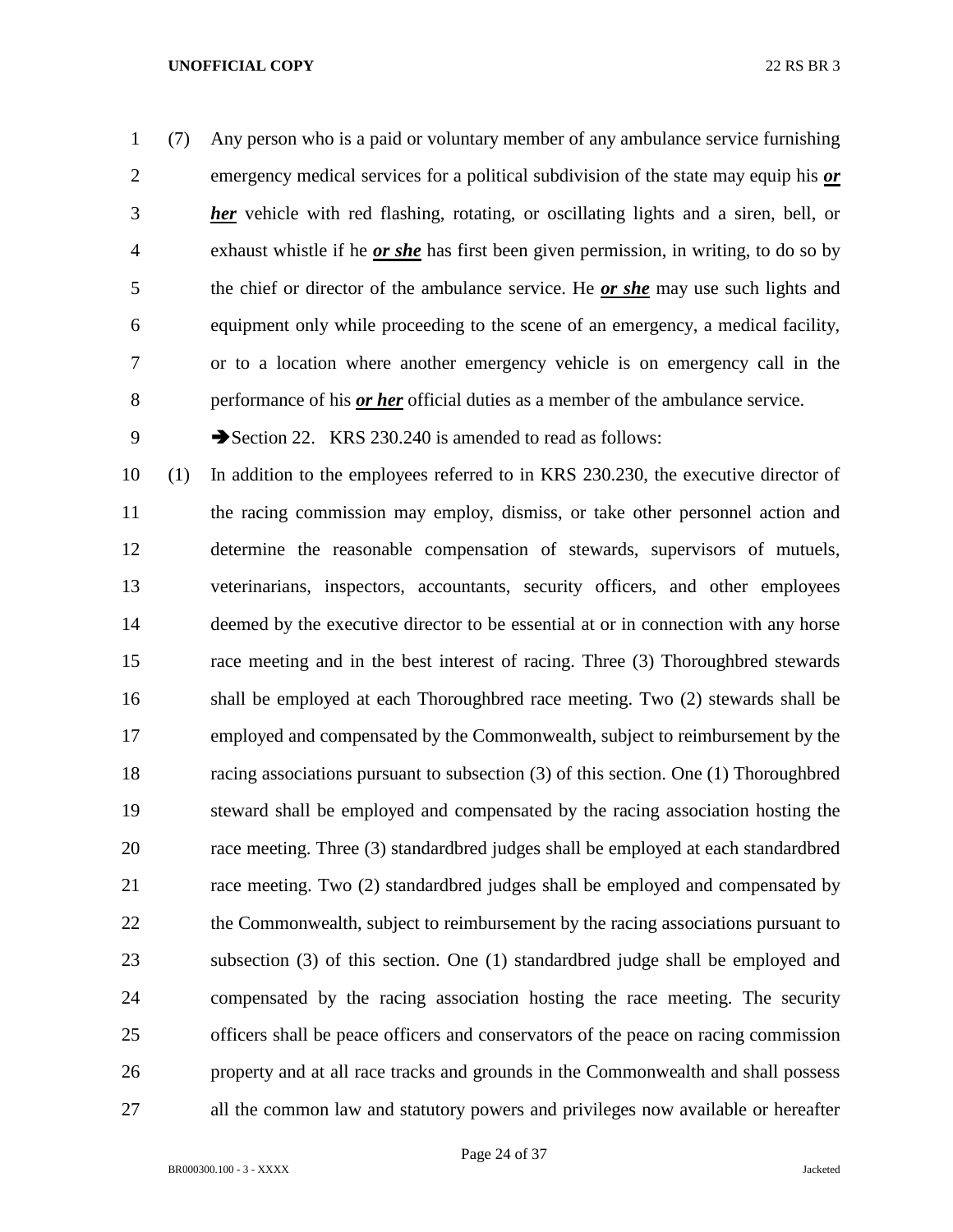(7) Any person who is a paid or voluntary member of any ambulance service furnishing emergency medical services for a political subdivision of the state may equip his *or her* vehicle with red flashing, rotating, or oscillating lights and a siren, bell, or exhaust whistle if he *or she* has first been given permission, in writing, to do so by the chief or director of the ambulance service. He *or she* may use such lights and equipment only while proceeding to the scene of an emergency, a medical facility, or to a location where another emergency vehicle is on emergency call in the performance of his *or her* official duties as a member of the ambulance service.

9 Section 22. KRS 230.240 is amended to read as follows:

 (1) In addition to the employees referred to in KRS 230.230, the executive director of the racing commission may employ, dismiss, or take other personnel action and determine the reasonable compensation of stewards, supervisors of mutuels, veterinarians, inspectors, accountants, security officers, and other employees 14 deemed by the executive director to be essential at or in connection with any horse race meeting and in the best interest of racing. Three (3) Thoroughbred stewards shall be employed at each Thoroughbred race meeting. Two (2) stewards shall be employed and compensated by the Commonwealth, subject to reimbursement by the racing associations pursuant to subsection (3) of this section. One (1) Thoroughbred steward shall be employed and compensated by the racing association hosting the race meeting. Three (3) standardbred judges shall be employed at each standardbred race meeting. Two (2) standardbred judges shall be employed and compensated by 22 the Commonwealth, subject to reimbursement by the racing associations pursuant to subsection (3) of this section. One (1) standardbred judge shall be employed and compensated by the racing association hosting the race meeting. The security officers shall be peace officers and conservators of the peace on racing commission property and at all race tracks and grounds in the Commonwealth and shall possess all the common law and statutory powers and privileges now available or hereafter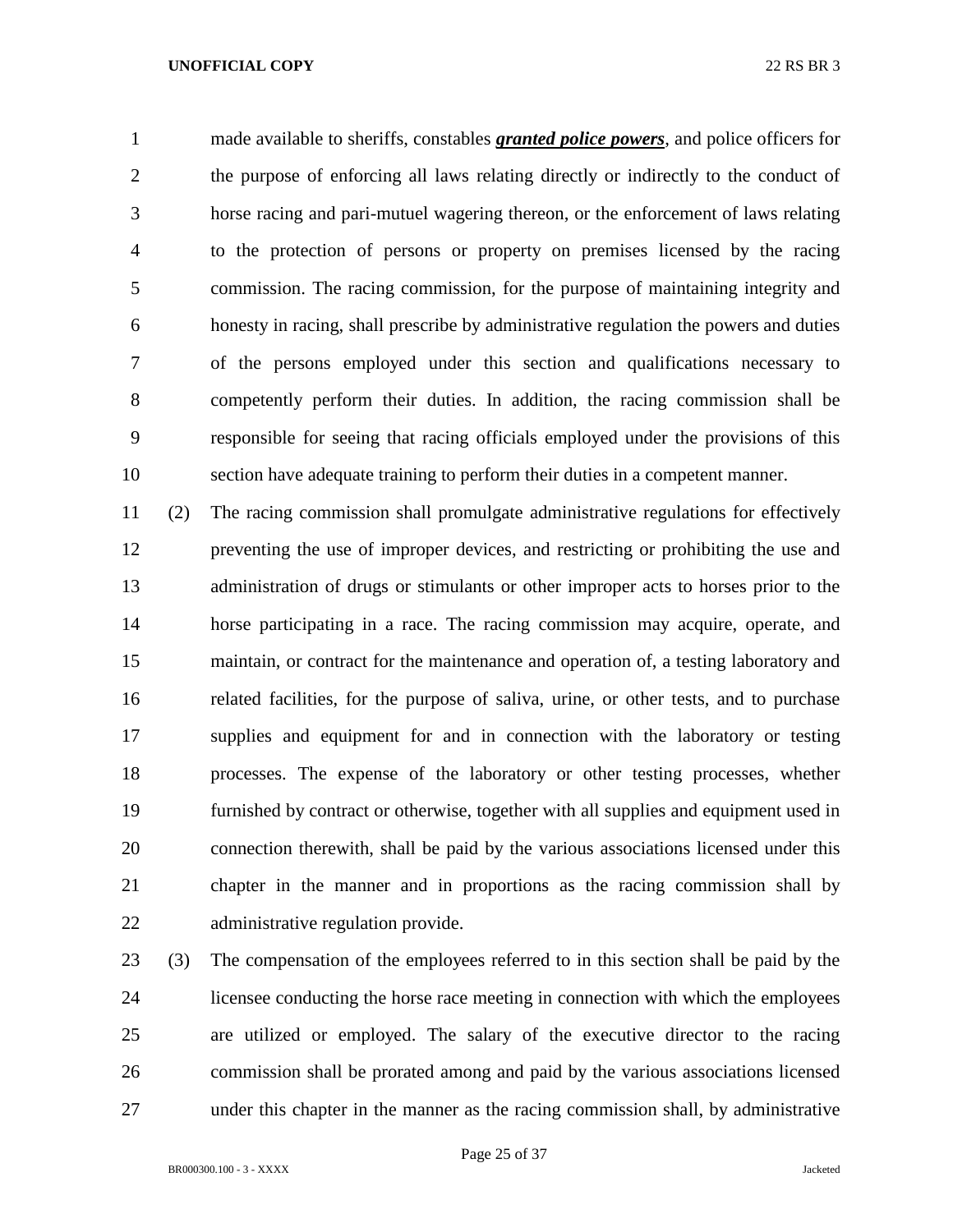made available to sheriffs, constables *granted police powers*, and police officers for the purpose of enforcing all laws relating directly or indirectly to the conduct of horse racing and pari-mutuel wagering thereon, or the enforcement of laws relating to the protection of persons or property on premises licensed by the racing commission. The racing commission, for the purpose of maintaining integrity and honesty in racing, shall prescribe by administrative regulation the powers and duties of the persons employed under this section and qualifications necessary to competently perform their duties. In addition, the racing commission shall be responsible for seeing that racing officials employed under the provisions of this section have adequate training to perform their duties in a competent manner.

 (2) The racing commission shall promulgate administrative regulations for effectively preventing the use of improper devices, and restricting or prohibiting the use and administration of drugs or stimulants or other improper acts to horses prior to the horse participating in a race. The racing commission may acquire, operate, and maintain, or contract for the maintenance and operation of, a testing laboratory and related facilities, for the purpose of saliva, urine, or other tests, and to purchase supplies and equipment for and in connection with the laboratory or testing processes. The expense of the laboratory or other testing processes, whether furnished by contract or otherwise, together with all supplies and equipment used in connection therewith, shall be paid by the various associations licensed under this chapter in the manner and in proportions as the racing commission shall by administrative regulation provide.

 (3) The compensation of the employees referred to in this section shall be paid by the licensee conducting the horse race meeting in connection with which the employees are utilized or employed. The salary of the executive director to the racing commission shall be prorated among and paid by the various associations licensed under this chapter in the manner as the racing commission shall, by administrative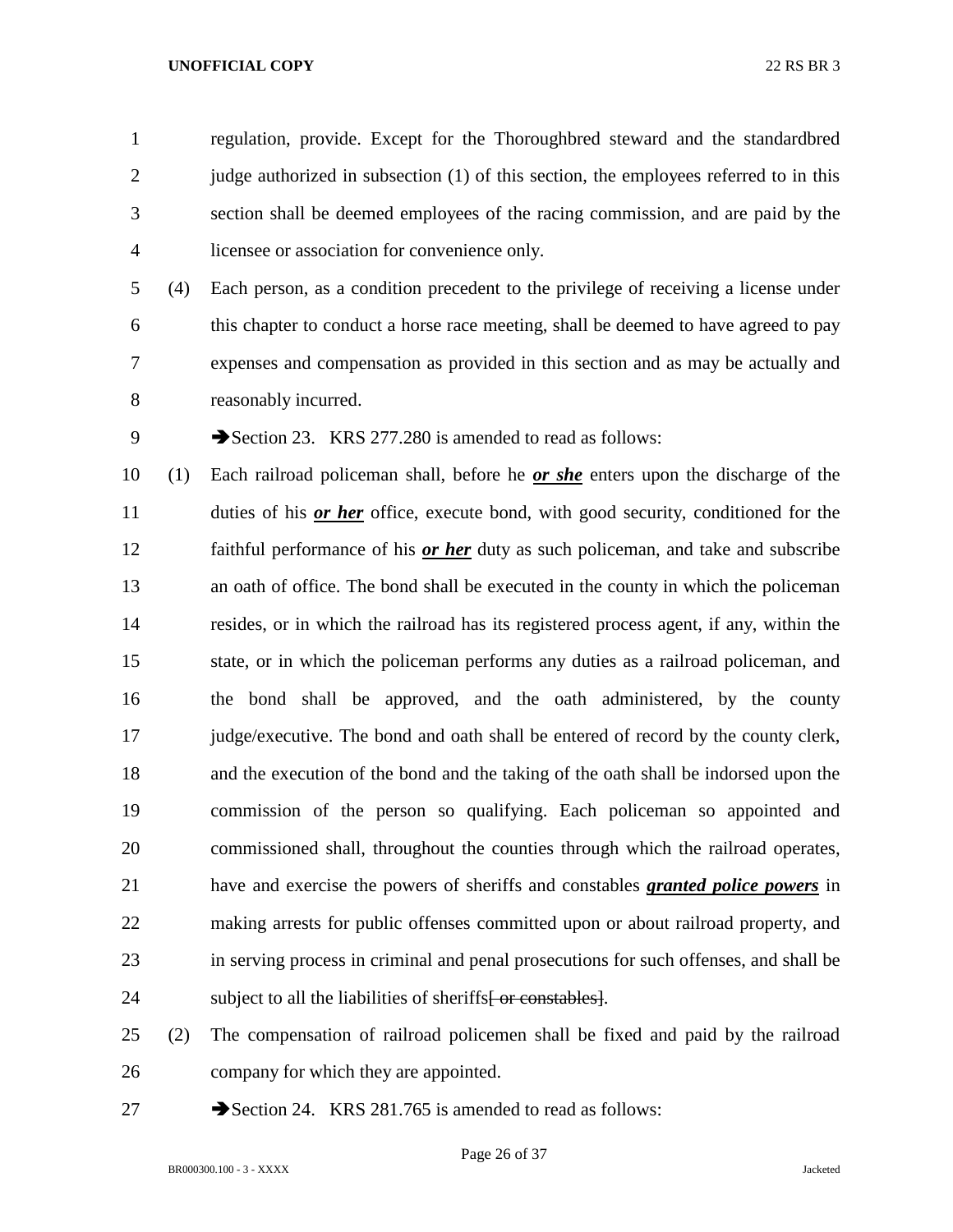regulation, provide. Except for the Thoroughbred steward and the standardbred 2 judge authorized in subsection (1) of this section, the employees referred to in this section shall be deemed employees of the racing commission, and are paid by the licensee or association for convenience only.

 (4) Each person, as a condition precedent to the privilege of receiving a license under this chapter to conduct a horse race meeting, shall be deemed to have agreed to pay expenses and compensation as provided in this section and as may be actually and reasonably incurred.

9 Section 23. KRS 277.280 is amended to read as follows:

 (1) Each railroad policeman shall, before he *or she* enters upon the discharge of the duties of his *or her* office, execute bond, with good security, conditioned for the faithful performance of his *or her* duty as such policeman, and take and subscribe an oath of office. The bond shall be executed in the county in which the policeman resides, or in which the railroad has its registered process agent, if any, within the state, or in which the policeman performs any duties as a railroad policeman, and the bond shall be approved, and the oath administered, by the county judge/executive. The bond and oath shall be entered of record by the county clerk, and the execution of the bond and the taking of the oath shall be indorsed upon the commission of the person so qualifying. Each policeman so appointed and commissioned shall, throughout the counties through which the railroad operates, have and exercise the powers of sheriffs and constables *granted police powers* in making arrests for public offenses committed upon or about railroad property, and in serving process in criminal and penal prosecutions for such offenses, and shall be 24 subject to all the liabilities of sheriffs<del>[ or constables]</del>.

 (2) The compensation of railroad policemen shall be fixed and paid by the railroad company for which they are appointed.

27 Section 24. KRS 281.765 is amended to read as follows:

Page 26 of 37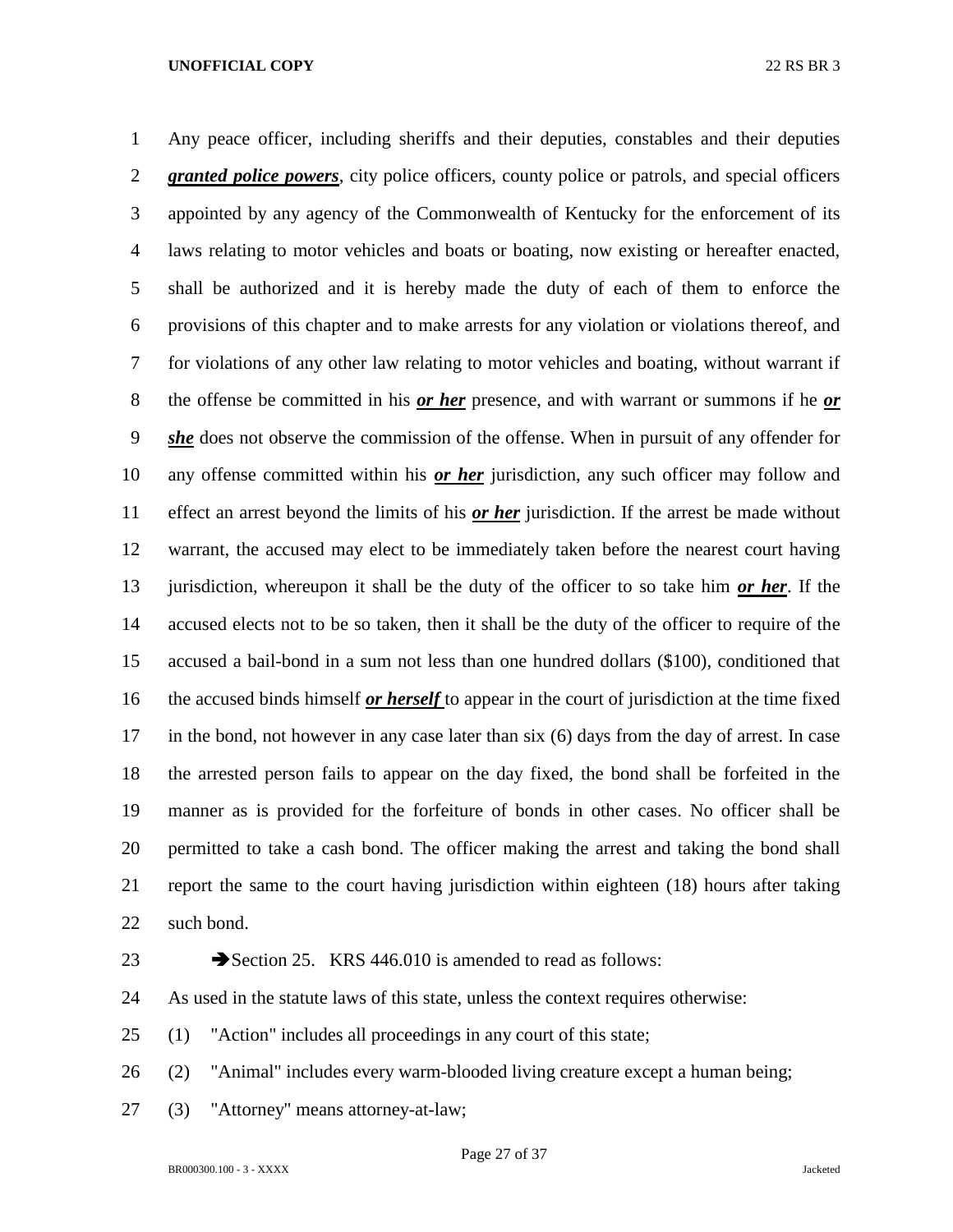Any peace officer, including sheriffs and their deputies, constables and their deputies **granted police powers**, city police officers, county police or patrols, and special officers appointed by any agency of the Commonwealth of Kentucky for the enforcement of its laws relating to motor vehicles and boats or boating, now existing or hereafter enacted, shall be authorized and it is hereby made the duty of each of them to enforce the provisions of this chapter and to make arrests for any violation or violations thereof, and for violations of any other law relating to motor vehicles and boating, without warrant if the offense be committed in his *or her* presence, and with warrant or summons if he *or she* does not observe the commission of the offense. When in pursuit of any offender for any offense committed within his *or her* jurisdiction, any such officer may follow and effect an arrest beyond the limits of his *or her* jurisdiction. If the arrest be made without warrant, the accused may elect to be immediately taken before the nearest court having jurisdiction, whereupon it shall be the duty of the officer to so take him *or her*. If the accused elects not to be so taken, then it shall be the duty of the officer to require of the accused a bail-bond in a sum not less than one hundred dollars (\$100), conditioned that the accused binds himself *or herself* to appear in the court of jurisdiction at the time fixed in the bond, not however in any case later than six (6) days from the day of arrest. In case the arrested person fails to appear on the day fixed, the bond shall be forfeited in the manner as is provided for the forfeiture of bonds in other cases. No officer shall be permitted to take a cash bond. The officer making the arrest and taking the bond shall report the same to the court having jurisdiction within eighteen (18) hours after taking such bond.

23 Section 25. KRS 446.010 is amended to read as follows:

As used in the statute laws of this state, unless the context requires otherwise:

(1) "Action" includes all proceedings in any court of this state;

(2) "Animal" includes every warm-blooded living creature except a human being;

(3) "Attorney" means attorney-at-law;

Page 27 of 37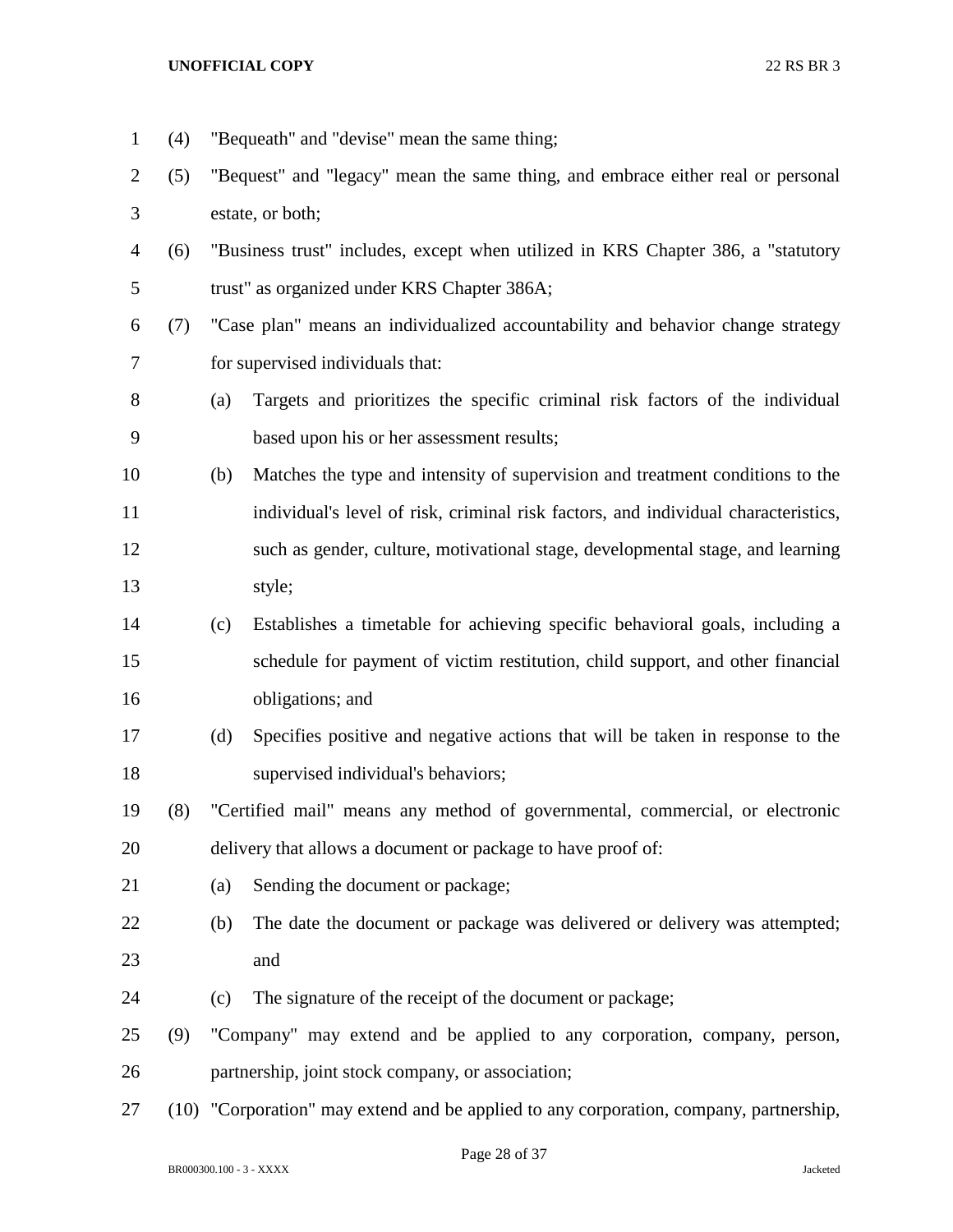(4) "Bequeath" and "devise" mean the same thing; (5) "Bequest" and "legacy" mean the same thing, and embrace either real or personal estate, or both; (6) "Business trust" includes, except when utilized in KRS Chapter 386, a "statutory trust" as organized under KRS Chapter 386A; (7) "Case plan" means an individualized accountability and behavior change strategy for supervised individuals that: (a) Targets and prioritizes the specific criminal risk factors of the individual based upon his or her assessment results; (b) Matches the type and intensity of supervision and treatment conditions to the individual's level of risk, criminal risk factors, and individual characteristics, such as gender, culture, motivational stage, developmental stage, and learning style; (c) Establishes a timetable for achieving specific behavioral goals, including a schedule for payment of victim restitution, child support, and other financial obligations; and (d) Specifies positive and negative actions that will be taken in response to the supervised individual's behaviors; (8) "Certified mail" means any method of governmental, commercial, or electronic delivery that allows a document or package to have proof of: (a) Sending the document or package; (b) The date the document or package was delivered or delivery was attempted; and (c) The signature of the receipt of the document or package; (9) "Company" may extend and be applied to any corporation, company, person, partnership, joint stock company, or association; (10) "Corporation" may extend and be applied to any corporation, company, partnership,

Page 28 of 37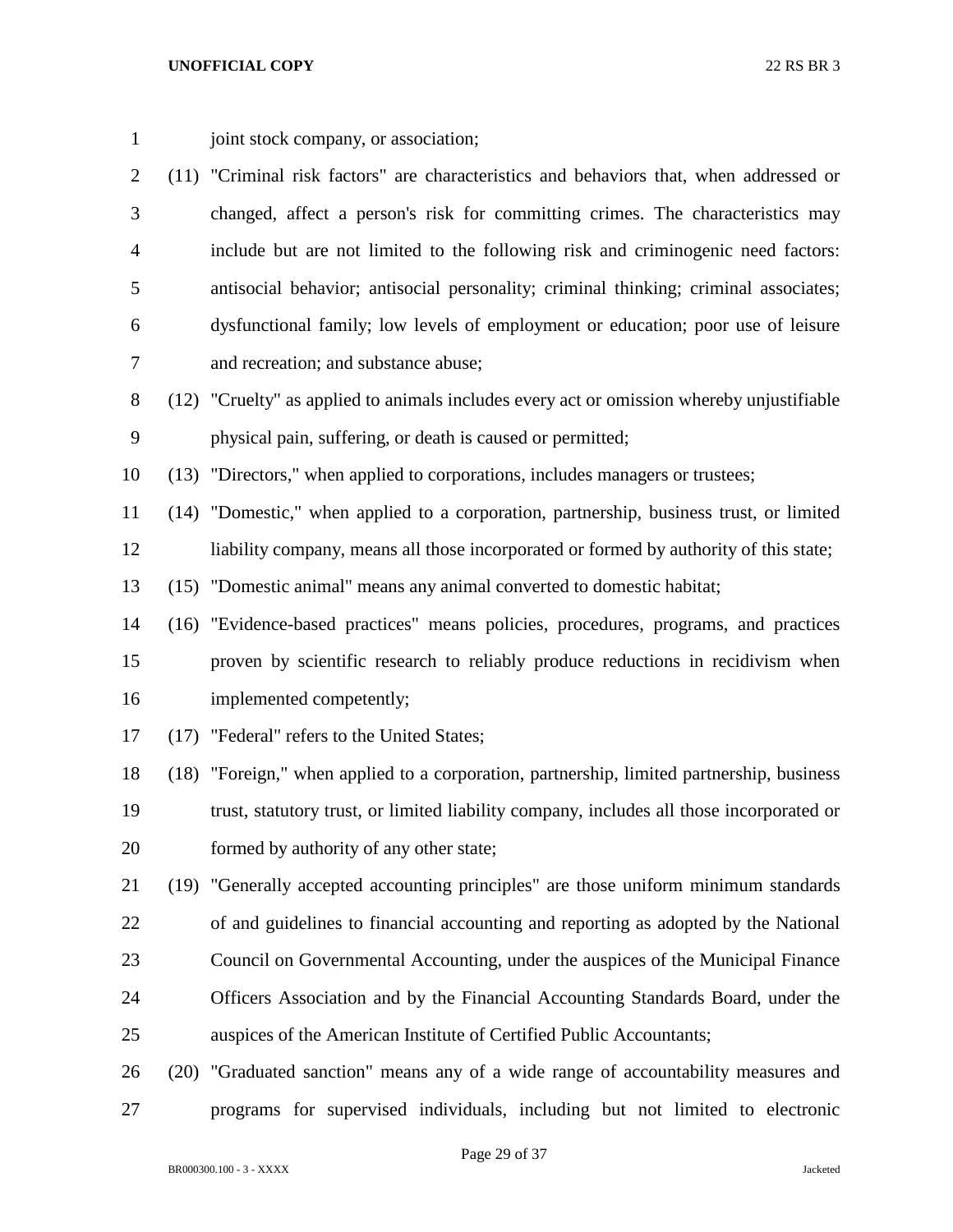1 joint stock company, or association;

- (11) "Criminal risk factors" are characteristics and behaviors that, when addressed or changed, affect a person's risk for committing crimes. The characteristics may include but are not limited to the following risk and criminogenic need factors: antisocial behavior; antisocial personality; criminal thinking; criminal associates; dysfunctional family; low levels of employment or education; poor use of leisure and recreation; and substance abuse;
- (12) "Cruelty" as applied to animals includes every act or omission whereby unjustifiable physical pain, suffering, or death is caused or permitted;

(13) "Directors," when applied to corporations, includes managers or trustees;

 (14) "Domestic," when applied to a corporation, partnership, business trust, or limited liability company, means all those incorporated or formed by authority of this state;

(15) "Domestic animal" means any animal converted to domestic habitat;

- (16) "Evidence-based practices" means policies, procedures, programs, and practices proven by scientific research to reliably produce reductions in recidivism when implemented competently;
- (17) "Federal" refers to the United States;

 (18) "Foreign," when applied to a corporation, partnership, limited partnership, business trust, statutory trust, or limited liability company, includes all those incorporated or formed by authority of any other state;

- (19) "Generally accepted accounting principles" are those uniform minimum standards of and guidelines to financial accounting and reporting as adopted by the National Council on Governmental Accounting, under the auspices of the Municipal Finance Officers Association and by the Financial Accounting Standards Board, under the auspices of the American Institute of Certified Public Accountants;
- (20) "Graduated sanction" means any of a wide range of accountability measures and programs for supervised individuals, including but not limited to electronic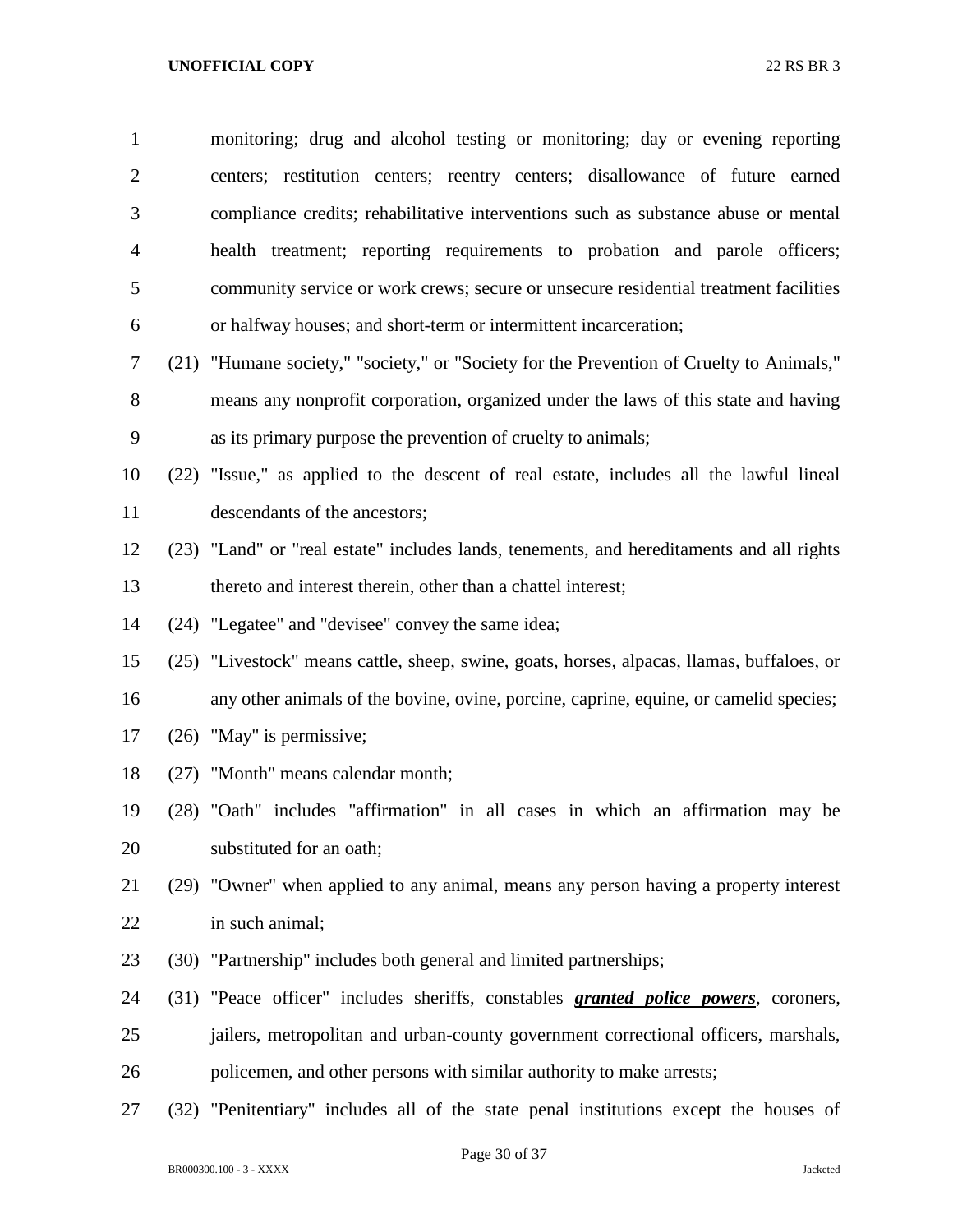monitoring; drug and alcohol testing or monitoring; day or evening reporting centers; restitution centers; reentry centers; disallowance of future earned compliance credits; rehabilitative interventions such as substance abuse or mental health treatment; reporting requirements to probation and parole officers; community service or work crews; secure or unsecure residential treatment facilities or halfway houses; and short-term or intermittent incarceration; (21) "Humane society," "society," or "Society for the Prevention of Cruelty to Animals," means any nonprofit corporation, organized under the laws of this state and having as its primary purpose the prevention of cruelty to animals; (22) "Issue," as applied to the descent of real estate, includes all the lawful lineal descendants of the ancestors; (23) "Land" or "real estate" includes lands, tenements, and hereditaments and all rights thereto and interest therein, other than a chattel interest;

(24) "Legatee" and "devisee" convey the same idea;

(25) "Livestock" means cattle, sheep, swine, goats, horses, alpacas, llamas, buffaloes, or

- any other animals of the bovine, ovine, porcine, caprine, equine, or camelid species;
- (26) "May" is permissive;
- (27) "Month" means calendar month;

 (28) "Oath" includes "affirmation" in all cases in which an affirmation may be substituted for an oath;

 (29) "Owner" when applied to any animal, means any person having a property interest in such animal;

(30) "Partnership" includes both general and limited partnerships;

 (31) "Peace officer" includes sheriffs, constables *granted police powers*, coroners, jailers, metropolitan and urban-county government correctional officers, marshals, policemen, and other persons with similar authority to make arrests;

(32) "Penitentiary" includes all of the state penal institutions except the houses of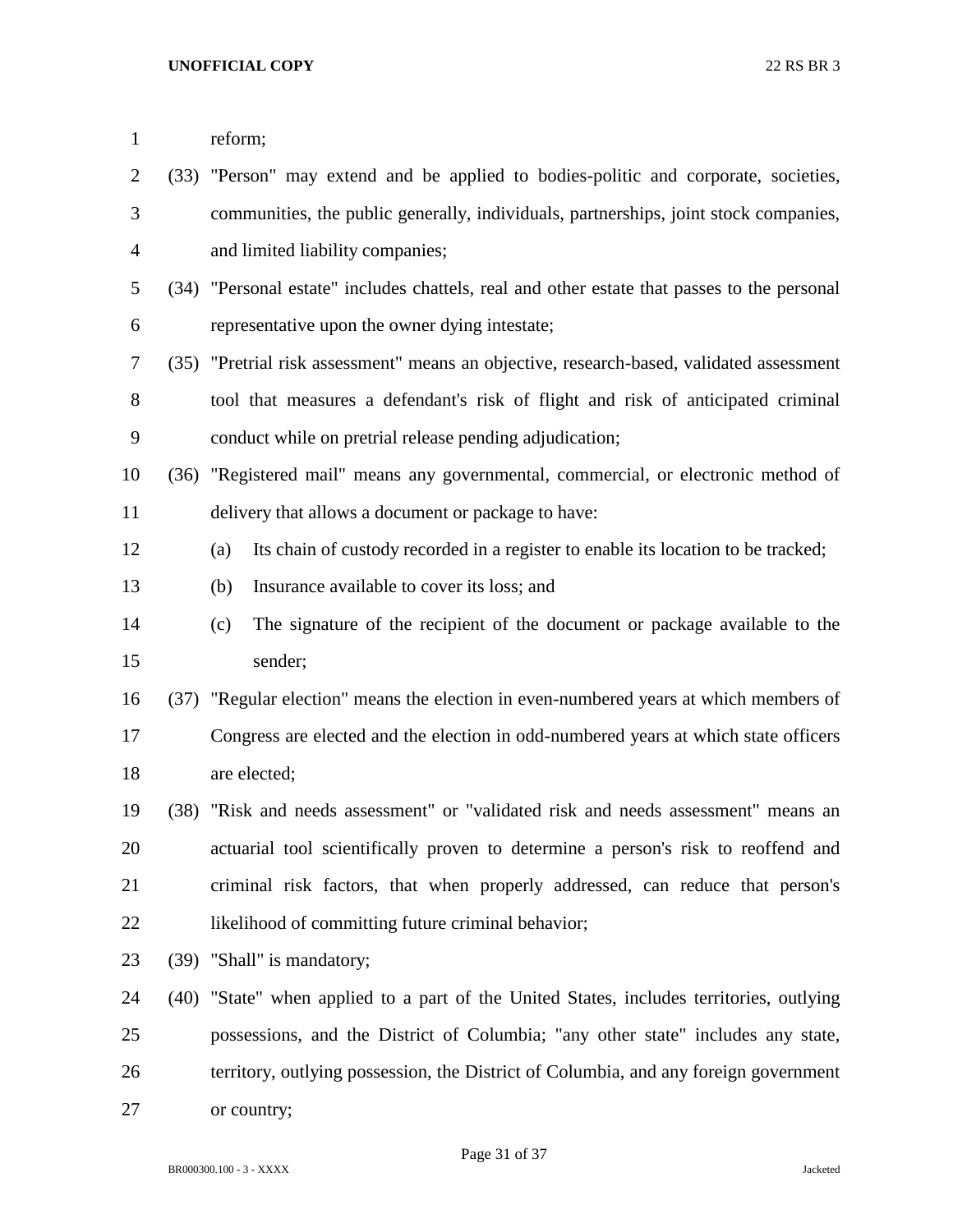| $\mathbf{1}$   |      | reform;                                                                                     |
|----------------|------|---------------------------------------------------------------------------------------------|
| $\overline{2}$ |      | (33) "Person" may extend and be applied to bodies-politic and corporate, societies,         |
| 3              |      | communities, the public generally, individuals, partnerships, joint stock companies,        |
| 4              |      | and limited liability companies;                                                            |
| 5              |      | (34) "Personal estate" includes chattels, real and other estate that passes to the personal |
| 6              |      | representative upon the owner dying intestate;                                              |
| 7              |      | (35) "Pretrial risk assessment" means an objective, research-based, validated assessment    |
| 8              |      | tool that measures a defendant's risk of flight and risk of anticipated criminal            |
| 9              |      | conduct while on pretrial release pending adjudication;                                     |
| 10             |      | (36) "Registered mail" means any governmental, commercial, or electronic method of          |
| 11             |      | delivery that allows a document or package to have:                                         |
| 12             |      | Its chain of custody recorded in a register to enable its location to be tracked;<br>(a)    |
| 13             |      | Insurance available to cover its loss; and<br>(b)                                           |
| 14             |      | The signature of the recipient of the document or package available to the<br>(c)           |
| 15             |      | sender;                                                                                     |
| 16             |      | (37) "Regular election" means the election in even-numbered years at which members of       |
| 17             |      | Congress are elected and the election in odd-numbered years at which state officers         |
| 18             |      | are elected;                                                                                |
| 19             |      | (38) "Risk and needs assessment" or "validated risk and needs assessment" means an          |
| 20             |      | actuarial tool scientifically proven to determine a person's risk to reoffend and           |
| 21             |      | criminal risk factors, that when properly addressed, can reduce that person's               |
| 22             |      | likelihood of committing future criminal behavior;                                          |
| 23             | (39) | "Shall" is mandatory;                                                                       |
| 24             | (40) | "State" when applied to a part of the United States, includes territories, outlying         |
| 25             |      | possessions, and the District of Columbia; "any other state" includes any state,            |
| 26             |      | territory, outlying possession, the District of Columbia, and any foreign government        |
| 27             |      | or country;                                                                                 |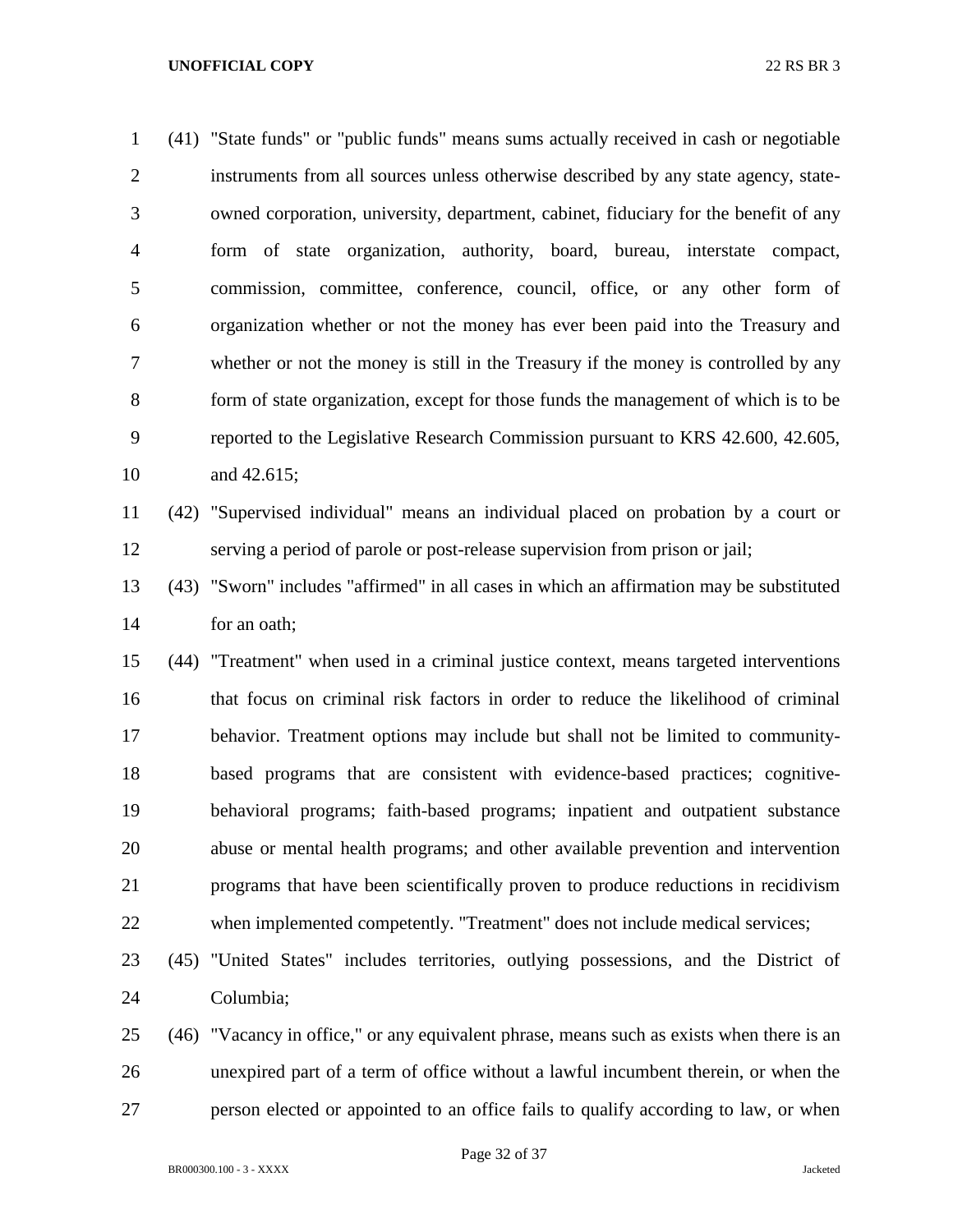(41) "State funds" or "public funds" means sums actually received in cash or negotiable instruments from all sources unless otherwise described by any state agency, state- owned corporation, university, department, cabinet, fiduciary for the benefit of any form of state organization, authority, board, bureau, interstate compact, commission, committee, conference, council, office, or any other form of organization whether or not the money has ever been paid into the Treasury and whether or not the money is still in the Treasury if the money is controlled by any form of state organization, except for those funds the management of which is to be reported to the Legislative Research Commission pursuant to KRS 42.600, 42.605, and 42.615;

 (42) "Supervised individual" means an individual placed on probation by a court or serving a period of parole or post-release supervision from prison or jail;

 (43) "Sworn" includes "affirmed" in all cases in which an affirmation may be substituted for an oath;

 (44) "Treatment" when used in a criminal justice context, means targeted interventions that focus on criminal risk factors in order to reduce the likelihood of criminal behavior. Treatment options may include but shall not be limited to community- based programs that are consistent with evidence-based practices; cognitive- behavioral programs; faith-based programs; inpatient and outpatient substance abuse or mental health programs; and other available prevention and intervention programs that have been scientifically proven to produce reductions in recidivism when implemented competently. "Treatment" does not include medical services;

 (45) "United States" includes territories, outlying possessions, and the District of Columbia;

 (46) "Vacancy in office," or any equivalent phrase, means such as exists when there is an unexpired part of a term of office without a lawful incumbent therein, or when the person elected or appointed to an office fails to qualify according to law, or when

Page 32 of 37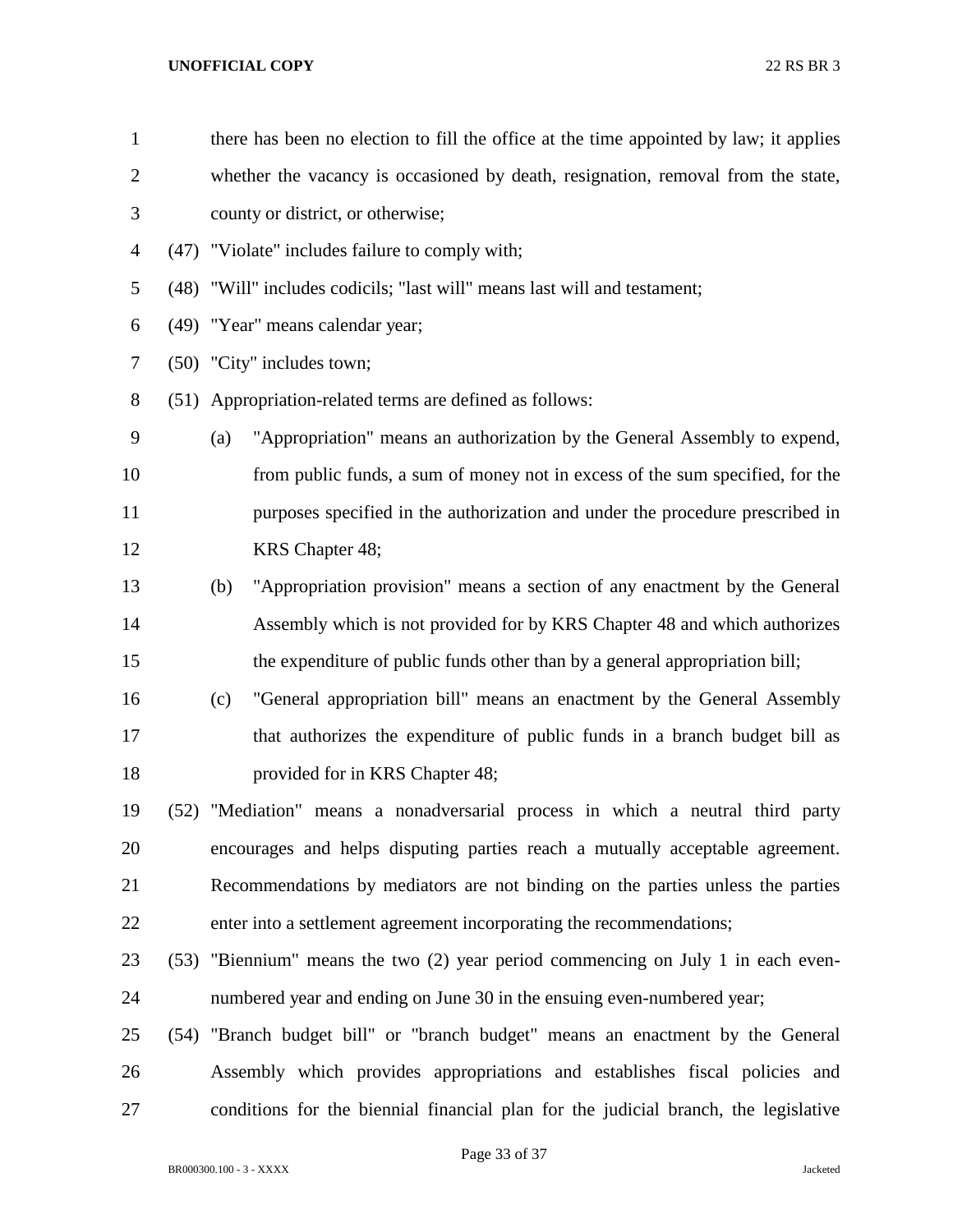| $\mathbf{1}$   | there has been no election to fill the office at the time appointed by law; it applies |
|----------------|----------------------------------------------------------------------------------------|
| $\overline{2}$ | whether the vacancy is occasioned by death, resignation, removal from the state,       |
| 3              | county or district, or otherwise;                                                      |
| 4              | (47) "Violate" includes failure to comply with;                                        |
| 5              | (48) "Will" includes codicils; "last will" means last will and testament;              |
| 6              | (49) "Year" means calendar year;                                                       |
| 7              | (50) "City" includes town;                                                             |
| 8              | (51) Appropriation-related terms are defined as follows:                               |
| 9              | "Appropriation" means an authorization by the General Assembly to expend,<br>(a)       |
| 10             | from public funds, a sum of money not in excess of the sum specified, for the          |
| 11             | purposes specified in the authorization and under the procedure prescribed in          |
| 12             | KRS Chapter 48;                                                                        |
| 13             | "Appropriation provision" means a section of any enactment by the General<br>(b)       |
| 14             | Assembly which is not provided for by KRS Chapter 48 and which authorizes              |
| 15             | the expenditure of public funds other than by a general appropriation bill;            |
| 16             | "General appropriation bill" means an enactment by the General Assembly<br>(c)         |
| 17             | that authorizes the expenditure of public funds in a branch budget bill as             |
| 18             | provided for in KRS Chapter 48;                                                        |
| 19             | (52) "Mediation" means a nonadversarial process in which a neutral third party         |
| 20             | encourages and helps disputing parties reach a mutually acceptable agreement.          |
| 21             | Recommendations by mediators are not binding on the parties unless the parties         |
| 22             | enter into a settlement agreement incorporating the recommendations;                   |
| 23             | (53) "Biennium" means the two (2) year period commencing on July 1 in each even-       |
| 24             | numbered year and ending on June 30 in the ensuing even-numbered year;                 |
| 25             | (54) "Branch budget bill" or "branch budget" means an enactment by the General         |
| 26             | Assembly which provides appropriations and establishes fiscal policies and             |
| 27             | conditions for the biennial financial plan for the judicial branch, the legislative    |
|                |                                                                                        |

Page 33 of 37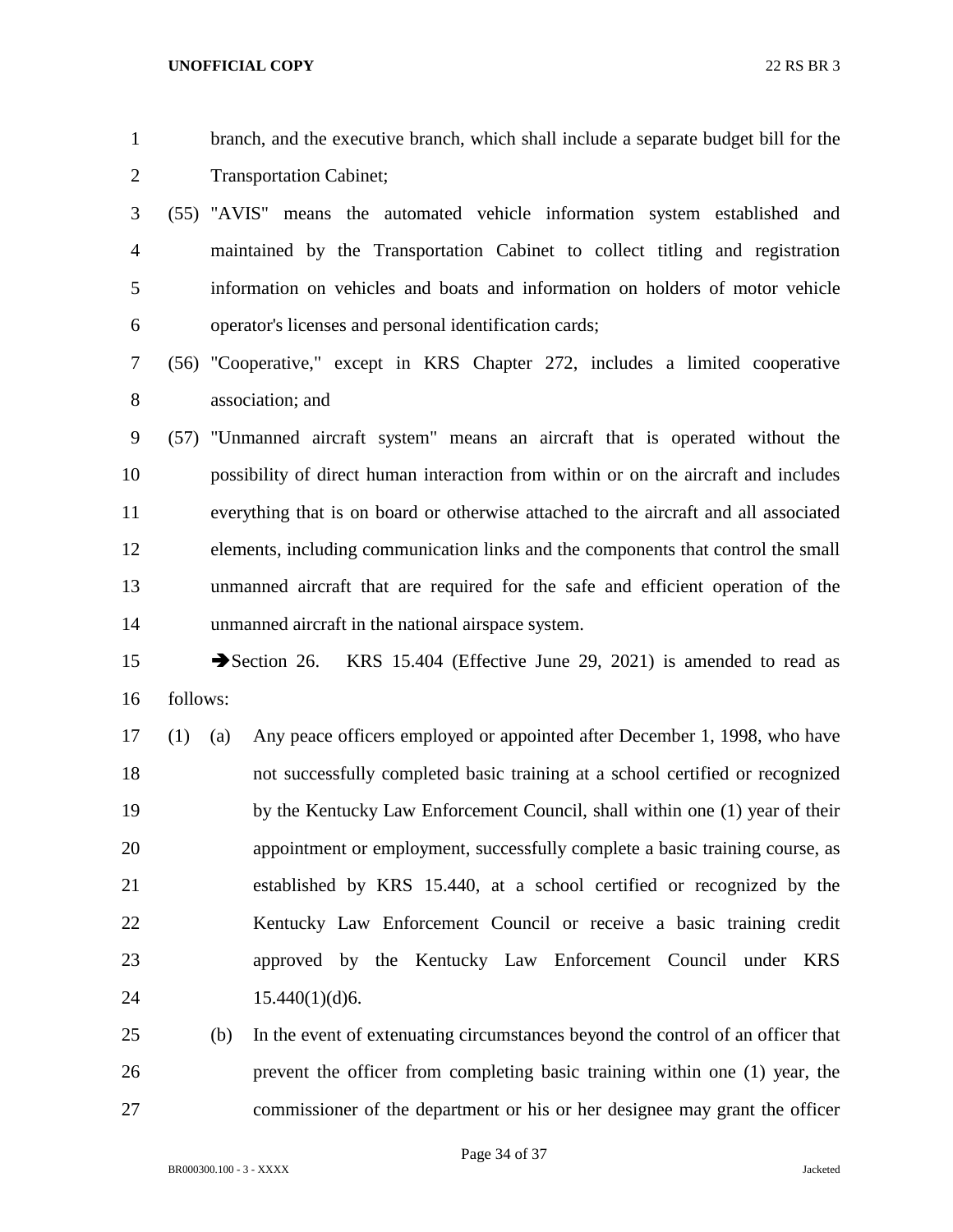branch, and the executive branch, which shall include a separate budget bill for the Transportation Cabinet;

- (55) "AVIS" means the automated vehicle information system established and maintained by the Transportation Cabinet to collect titling and registration information on vehicles and boats and information on holders of motor vehicle operator's licenses and personal identification cards;
- (56) "Cooperative," except in KRS Chapter 272, includes a limited cooperative association; and

 (57) "Unmanned aircraft system" means an aircraft that is operated without the possibility of direct human interaction from within or on the aircraft and includes everything that is on board or otherwise attached to the aircraft and all associated elements, including communication links and the components that control the small unmanned aircraft that are required for the safe and efficient operation of the unmanned aircraft in the national airspace system.

15 Section 26. KRS 15.404 (Effective June 29, 2021) is amended to read as follows:

 (1) (a) Any peace officers employed or appointed after December 1, 1998, who have not successfully completed basic training at a school certified or recognized by the Kentucky Law Enforcement Council, shall within one (1) year of their appointment or employment, successfully complete a basic training course, as established by KRS 15.440, at a school certified or recognized by the Kentucky Law Enforcement Council or receive a basic training credit approved by the Kentucky Law Enforcement Council under KRS 24 15.440(1)(d)6.

 (b) In the event of extenuating circumstances beyond the control of an officer that prevent the officer from completing basic training within one (1) year, the commissioner of the department or his or her designee may grant the officer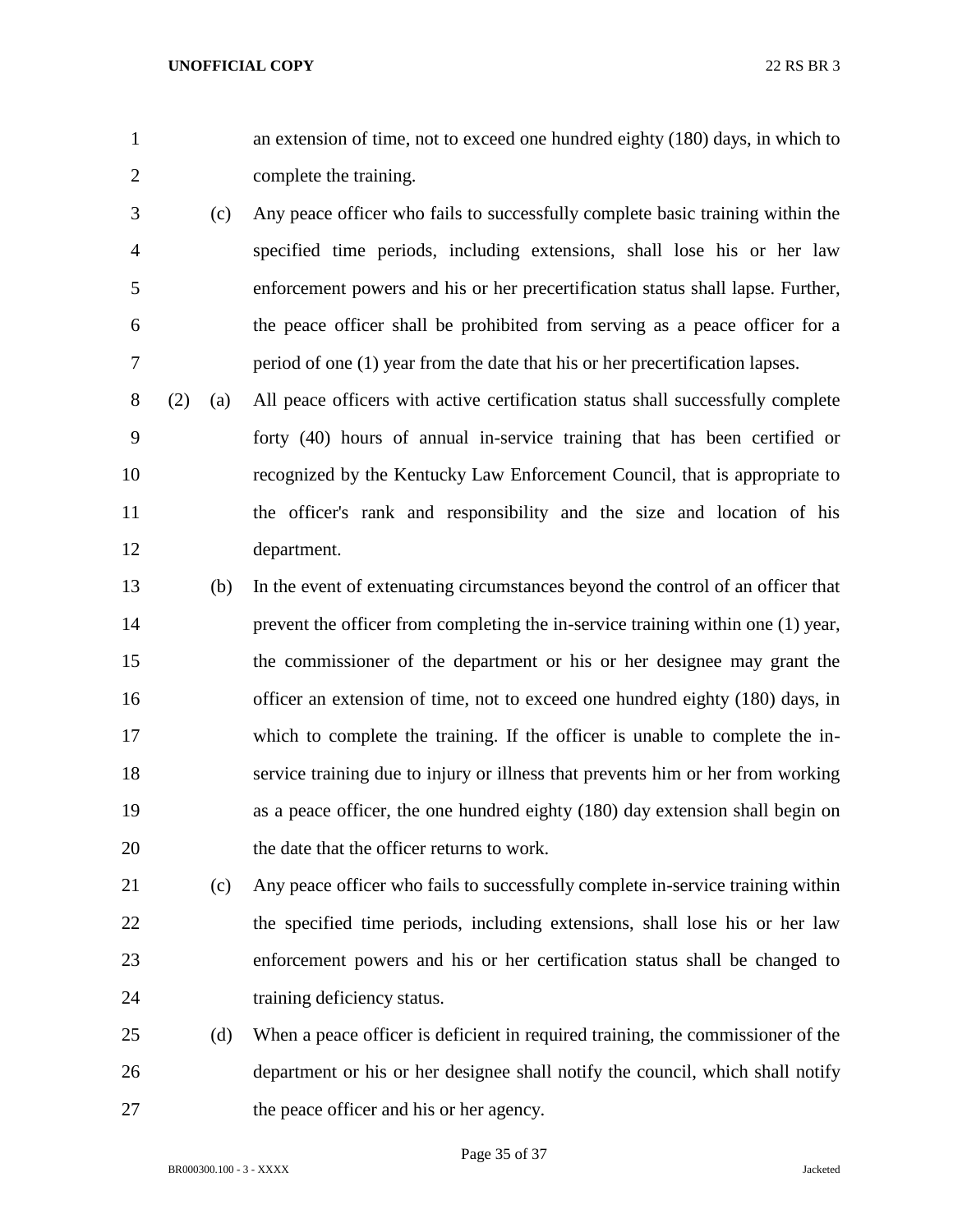an extension of time, not to exceed one hundred eighty (180) days, in which to complete the training.

- (c) Any peace officer who fails to successfully complete basic training within the specified time periods, including extensions, shall lose his or her law enforcement powers and his or her precertification status shall lapse. Further, the peace officer shall be prohibited from serving as a peace officer for a period of one (1) year from the date that his or her precertification lapses.
- (2) (a) All peace officers with active certification status shall successfully complete forty (40) hours of annual in-service training that has been certified or recognized by the Kentucky Law Enforcement Council, that is appropriate to the officer's rank and responsibility and the size and location of his department.
- (b) In the event of extenuating circumstances beyond the control of an officer that prevent the officer from completing the in-service training within one (1) year, the commissioner of the department or his or her designee may grant the 16 officer an extension of time, not to exceed one hundred eighty (180) days, in which to complete the training. If the officer is unable to complete the in- service training due to injury or illness that prevents him or her from working as a peace officer, the one hundred eighty (180) day extension shall begin on the date that the officer returns to work.
- (c) Any peace officer who fails to successfully complete in-service training within the specified time periods, including extensions, shall lose his or her law enforcement powers and his or her certification status shall be changed to training deficiency status.
- (d) When a peace officer is deficient in required training, the commissioner of the department or his or her designee shall notify the council, which shall notify the peace officer and his or her agency.

Page 35 of 37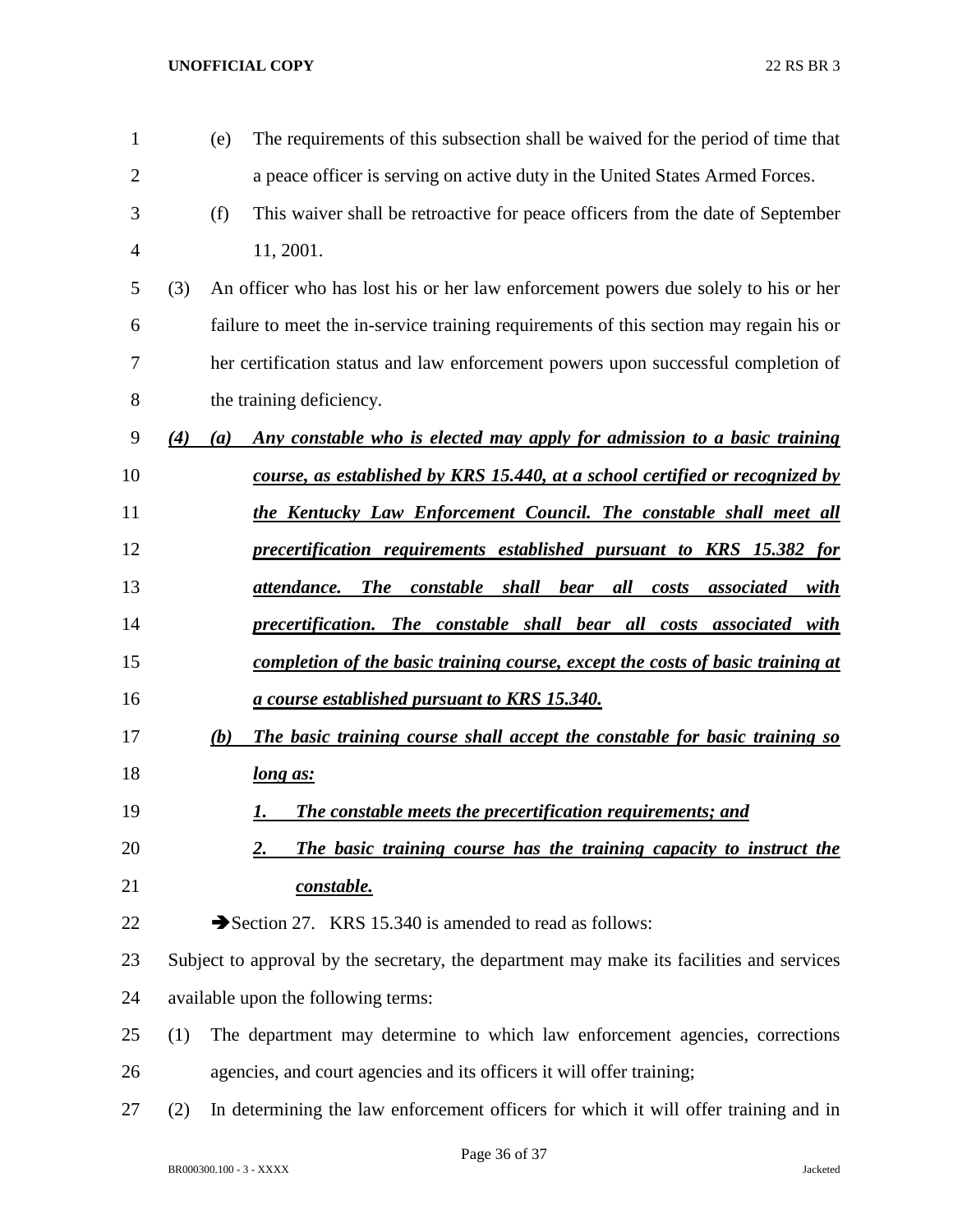| $\mathbf{1}$ |     | (e) | The requirements of this subsection shall be waived for the period of time that                              |
|--------------|-----|-----|--------------------------------------------------------------------------------------------------------------|
| 2            |     |     | a peace officer is serving on active duty in the United States Armed Forces.                                 |
| 3            |     | (f) | This waiver shall be retroactive for peace officers from the date of September                               |
| 4            |     |     | 11, 2001.                                                                                                    |
| 5            | (3) |     | An officer who has lost his or her law enforcement powers due solely to his or her                           |
| 6            |     |     | failure to meet the in-service training requirements of this section may regain his or                       |
| 7            |     |     | her certification status and law enforcement powers upon successful completion of                            |
| 8            |     |     | the training deficiency.                                                                                     |
| 9            | (4) | (a) | Any constable who is elected may apply for admission to a basic training                                     |
| 10           |     |     | course, as established by KRS 15.440, at a school certified or recognized by                                 |
| 11           |     |     | <u>the Kentucky Law Enforcement Council. The constable shall meet all</u>                                    |
| 12           |     |     | precertification requirements established pursuant to KRS 15.382 for                                         |
| 13           |     |     | <b>The</b><br><i>constable shall bear</i><br>all<br>attendance.<br>costs<br><i>associated</i><br><u>with</u> |
| 14           |     |     | precertification. The constable shall bear all costs associated with                                         |
| 15           |     |     | <u>completion of the basic training course, except the costs of basic training at</u>                        |
| 16           |     |     | <u>a course established pursuant to KRS 15.340.</u>                                                          |
| 17           |     | (b) | <u>The basic training course shall accept the constable for basic training so</u>                            |
| 18           |     |     | long as:                                                                                                     |
| 19           |     |     | <b>The constable meets the precertification requirements; and</b><br>I.                                      |
| 20           |     |     | The basic training course has the training capacity to instruct the<br>2.                                    |
| 21           |     |     | constable.                                                                                                   |
| 22           |     |     | Section 27. KRS 15.340 is amended to read as follows:                                                        |
| 23           |     |     | Subject to approval by the secretary, the department may make its facilities and services                    |
| 24           |     |     | available upon the following terms:                                                                          |
| 25           | (1) |     | The department may determine to which law enforcement agencies, corrections                                  |
| 26           |     |     | agencies, and court agencies and its officers it will offer training;                                        |
| 27           | (2) |     | In determining the law enforcement officers for which it will offer training and in                          |
|              |     |     |                                                                                                              |

Page 36 of 37